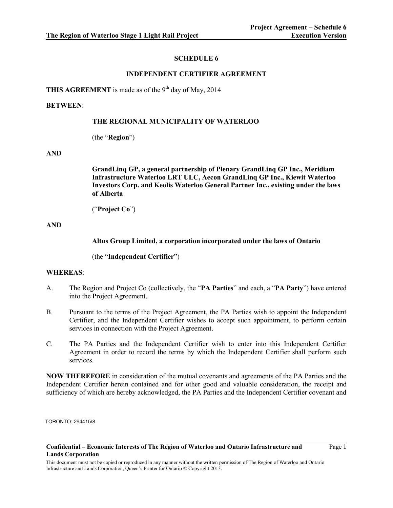# **SCHEDULE 6**

# **INDEPENDENT CERTIFIER AGREEMENT**

THIS AGREEMENT is made as of the 9<sup>th</sup> day of May, 2014

## **BETWEEN**:

## **THE REGIONAL MUNICIPALITY OF WATERLOO**

(the "**Region**")

### **AND**

**GrandLinq GP, a general partnership of Plenary GrandLinq GP Inc., Meridiam Infrastructure Waterloo LRT ULC, Aecon GrandLinq GP Inc., Kiewit Waterloo Investors Corp. and Keolis Waterloo General Partner Inc., existing under the laws of Alberta** 

("**Project Co**")

## **AND**

**Altus Group Limited, a corporation incorporated under the laws of Ontario** 

(the "**Independent Certifier**")

## **WHEREAS**:

- A. The Region and Project Co (collectively, the "**PA Parties**" and each, a "**PA Party**") have entered into the Project Agreement.
- B. Pursuant to the terms of the Project Agreement, the PA Parties wish to appoint the Independent Certifier, and the Independent Certifier wishes to accept such appointment, to perform certain services in connection with the Project Agreement.
- C. The PA Parties and the Independent Certifier wish to enter into this Independent Certifier Agreement in order to record the terms by which the Independent Certifier shall perform such services.

**NOW THEREFORE** in consideration of the mutual covenants and agreements of the PA Parties and the Independent Certifier herein contained and for other good and valuable consideration, the receipt and sufficiency of which are hereby acknowledged, the PA Parties and the Independent Certifier covenant and

TORONTO: 294415\8

Page 1

**Confidential – Economic Interests of The Region of Waterloo and Ontario Infrastructure and Lands Corporation**

This document must not be copied or reproduced in any manner without the written permission of The Region of Waterloo and Ontario Infrastructure and Lands Corporation, Queen's Printer for Ontario © Copyright 2013.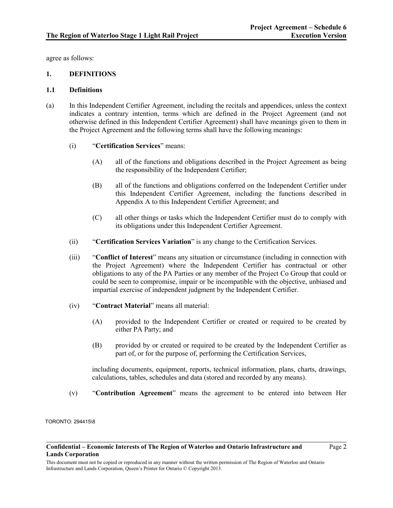agree as follows:

## **1. DEFINITIONS**

### **1.1 Definitions**

- (a) In this Independent Certifier Agreement, including the recitals and appendices, unless the context indicates a contrary intention, terms which are defined in the Project Agreement (and not otherwise defined in this Independent Certifier Agreement) shall have meanings given to them in the Project Agreement and the following terms shall have the following meanings:
	- (i) "**Certification Services**" means:
		- (A) all of the functions and obligations described in the Project Agreement as being the responsibility of the Independent Certifier;
		- (B) all of the functions and obligations conferred on the Independent Certifier under this Independent Certifier Agreement, including the functions described in Appendix A to this Independent Certifier Agreement; and
		- (C) all other things or tasks which the Independent Certifier must do to comply with its obligations under this Independent Certifier Agreement.
	- (ii) "**Certification Services Variation**" is any change to the Certification Services.
	- (iii) "**Conflict of Interest**" means any situation or circumstance (including in connection with the Project Agreement) where the Independent Certifier has contractual or other obligations to any of the PA Parties or any member of the Project Co Group that could or could be seen to compromise, impair or be incompatible with the objective, unbiased and impartial exercise of independent judgment by the Independent Certifier.
	- (iv) "**Contract Material**" means all material:
		- (A) provided to the Independent Certifier or created or required to be created by either PA Party; and
		- (B) provided by or created or required to be created by the Independent Certifier as part of, or for the purpose of, performing the Certification Services,

including documents, equipment, reports, technical information, plans, charts, drawings, calculations, tables, schedules and data (stored and recorded by any means).

(v) "**Contribution Agreement**" means the agreement to be entered into between Her

TORONTO: 294415\8

**Confidential – Economic Interests of The Region of Waterloo and Ontario Infrastructure and Lands Corporation**

This document must not be copied or reproduced in any manner without the written permission of The Region of Waterloo and Ontario Infrastructure and Lands Corporation, Queen's Printer for Ontario © Copyright 2013.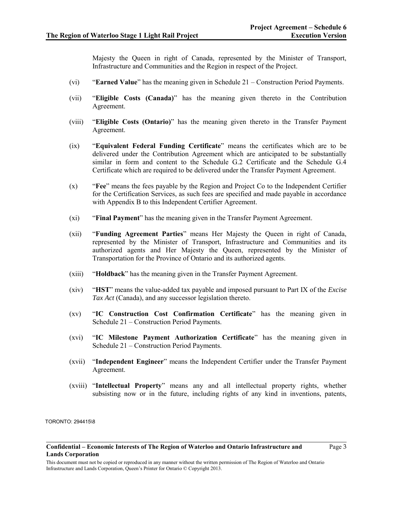Majesty the Queen in right of Canada, represented by the Minister of Transport, Infrastructure and Communities and the Region in respect of the Project.

- (vi) "**Earned Value**" has the meaning given in Schedule 21 Construction Period Payments.
- (vii) "**Eligible Costs (Canada)**" has the meaning given thereto in the Contribution Agreement.
- (viii) "**Eligible Costs (Ontario)**" has the meaning given thereto in the Transfer Payment Agreement.
- (ix) "**Equivalent Federal Funding Certificate**" means the certificates which are to be delivered under the Contribution Agreement which are anticipated to be substantially similar in form and content to the Schedule G.2 Certificate and the Schedule G.4 Certificate which are required to be delivered under the Transfer Payment Agreement.
- (x) "**Fee**" means the fees payable by the Region and Project Co to the Independent Certifier for the Certification Services, as such fees are specified and made payable in accordance with Appendix B to this Independent Certifier Agreement.
- (xi) "**Final Payment**" has the meaning given in the Transfer Payment Agreement.
- (xii) "**Funding Agreement Parties**" means Her Majesty the Queen in right of Canada, represented by the Minister of Transport, Infrastructure and Communities and its authorized agents and Her Majesty the Queen, represented by the Minister of Transportation for the Province of Ontario and its authorized agents.
- (xiii) "**Holdback**" has the meaning given in the Transfer Payment Agreement.
- (xiv) "**HST**" means the value-added tax payable and imposed pursuant to Part IX of the *Excise Tax Act* (Canada), and any successor legislation thereto.
- (xv) "**IC Construction Cost Confirmation Certificate**" has the meaning given in Schedule 21 – Construction Period Payments.
- (xvi) "**IC Milestone Payment Authorization Certificate**" has the meaning given in Schedule 21 – Construction Period Payments.
- (xvii) "**Independent Engineer**" means the Independent Certifier under the Transfer Payment Agreement.
- (xviii) "**Intellectual Property**" means any and all intellectual property rights, whether subsisting now or in the future, including rights of any kind in inventions, patents,

TORONTO: 294415\8

Page 3

**Confidential – Economic Interests of The Region of Waterloo and Ontario Infrastructure and Lands Corporation**

This document must not be copied or reproduced in any manner without the written permission of The Region of Waterloo and Ontario Infrastructure and Lands Corporation, Queen's Printer for Ontario © Copyright 2013.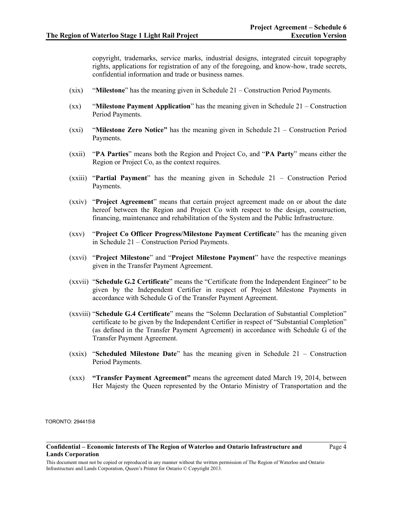copyright, trademarks, service marks, industrial designs, integrated circuit topography rights, applications for registration of any of the foregoing, and know-how, trade secrets, confidential information and trade or business names.

- (xix) "**Milestone**" has the meaning given in Schedule 21 Construction Period Payments.
- (xx) "**Milestone Payment Application**" has the meaning given in Schedule 21 Construction Period Payments.
- (xxi) "**Milestone Zero Notice"** has the meaning given in Schedule 21 Construction Period Payments.
- (xxii) "**PA Parties**" means both the Region and Project Co, and "**PA Party**" means either the Region or Project Co, as the context requires.
- (xxiii) "**Partial Payment**" has the meaning given in Schedule 21 Construction Period Payments.
- (xxiv) "**Project Agreement**" means that certain project agreement made on or about the date hereof between the Region and Project Co with respect to the design, construction, financing, maintenance and rehabilitation of the System and the Public Infrastructure.
- (xxv) "**Project Co Officer Progress/Milestone Payment Certificate**" has the meaning given in Schedule 21 – Construction Period Payments.
- (xxvi) "**Project Milestone**" and "**Project Milestone Payment**" have the respective meanings given in the Transfer Payment Agreement.
- (xxvii) "**Schedule G.2 Certificate**" means the "Certificate from the Independent Engineer" to be given by the Independent Certifier in respect of Project Milestone Payments in accordance with Schedule G of the Transfer Payment Agreement.
- (xxviii) "**Schedule G.4 Certificate**" means the "Solemn Declaration of Substantial Completion" certificate to be given by the Independent Certifier in respect of "Substantial Completion" (as defined in the Transfer Payment Agreement) in accordance with Schedule G of the Transfer Payment Agreement.
- (xxix) "**Scheduled Milestone Date**" has the meaning given in Schedule 21 Construction Period Payments.
- (xxx) **"Transfer Payment Agreement"** means the agreement dated March 19, 2014, between Her Majesty the Queen represented by the Ontario Ministry of Transportation and the

TORONTO: 294415\8

**Confidential – Economic Interests of The Region of Waterloo and Ontario Infrastructure and Lands Corporation**

Page 4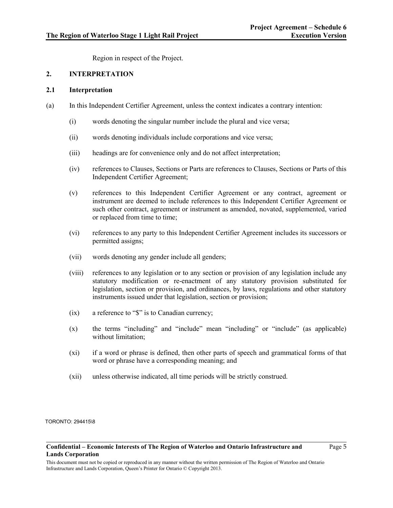Region in respect of the Project.

# **2. INTERPRETATION**

### **2.1 Interpretation**

- (a) In this Independent Certifier Agreement, unless the context indicates a contrary intention:
	- (i) words denoting the singular number include the plural and vice versa;
	- (ii) words denoting individuals include corporations and vice versa;
	- (iii) headings are for convenience only and do not affect interpretation;
	- (iv) references to Clauses, Sections or Parts are references to Clauses, Sections or Parts of this Independent Certifier Agreement;
	- (v) references to this Independent Certifier Agreement or any contract, agreement or instrument are deemed to include references to this Independent Certifier Agreement or such other contract, agreement or instrument as amended, novated, supplemented, varied or replaced from time to time;
	- (vi) references to any party to this Independent Certifier Agreement includes its successors or permitted assigns;
	- (vii) words denoting any gender include all genders;
	- (viii) references to any legislation or to any section or provision of any legislation include any statutory modification or re-enactment of any statutory provision substituted for legislation, section or provision, and ordinances, by laws, regulations and other statutory instruments issued under that legislation, section or provision;
	- (ix) a reference to "\$" is to Canadian currency;
	- (x) the terms "including" and "include" mean "including" or "include" (as applicable) without limitation;
	- (xi) if a word or phrase is defined, then other parts of speech and grammatical forms of that word or phrase have a corresponding meaning; and
	- (xii) unless otherwise indicated, all time periods will be strictly construed.

TORONTO: 294415\8

#### **Confidential – Economic Interests of The Region of Waterloo and Ontario Infrastructure and Lands Corporation**

Page 5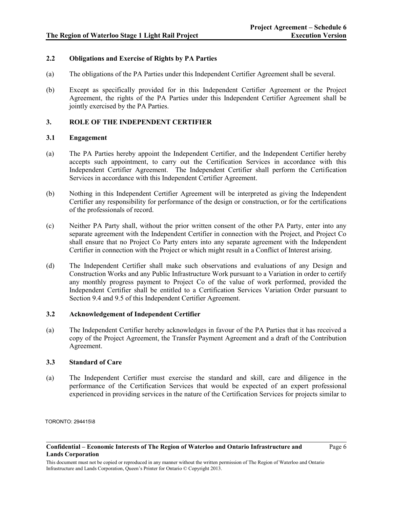## **2.2 Obligations and Exercise of Rights by PA Parties**

- (a) The obligations of the PA Parties under this Independent Certifier Agreement shall be several.
- (b) Except as specifically provided for in this Independent Certifier Agreement or the Project Agreement, the rights of the PA Parties under this Independent Certifier Agreement shall be jointly exercised by the PA Parties.

# **3. ROLE OF THE INDEPENDENT CERTIFIER**

## **3.1 Engagement**

- (a) The PA Parties hereby appoint the Independent Certifier, and the Independent Certifier hereby accepts such appointment, to carry out the Certification Services in accordance with this Independent Certifier Agreement. The Independent Certifier shall perform the Certification Services in accordance with this Independent Certifier Agreement.
- (b) Nothing in this Independent Certifier Agreement will be interpreted as giving the Independent Certifier any responsibility for performance of the design or construction, or for the certifications of the professionals of record.
- (c) Neither PA Party shall, without the prior written consent of the other PA Party, enter into any separate agreement with the Independent Certifier in connection with the Project, and Project Co shall ensure that no Project Co Party enters into any separate agreement with the Independent Certifier in connection with the Project or which might result in a Conflict of Interest arising.
- (d) The Independent Certifier shall make such observations and evaluations of any Design and Construction Works and any Public Infrastructure Work pursuant to a Variation in order to certify any monthly progress payment to Project Co of the value of work performed, provided the Independent Certifier shall be entitled to a Certification Services Variation Order pursuant to Section 9.4 and 9.5 of this Independent Certifier Agreement.

## **3.2 Acknowledgement of Independent Certifier**

(a) The Independent Certifier hereby acknowledges in favour of the PA Parties that it has received a copy of the Project Agreement, the Transfer Payment Agreement and a draft of the Contribution Agreement.

## **3.3 Standard of Care**

(a) The Independent Certifier must exercise the standard and skill, care and diligence in the performance of the Certification Services that would be expected of an expert professional experienced in providing services in the nature of the Certification Services for projects similar to

TORONTO: 294415\8

Page 6

**Confidential – Economic Interests of The Region of Waterloo and Ontario Infrastructure and Lands Corporation**

This document must not be copied or reproduced in any manner without the written permission of The Region of Waterloo and Ontario Infrastructure and Lands Corporation, Queen's Printer for Ontario © Copyright 2013.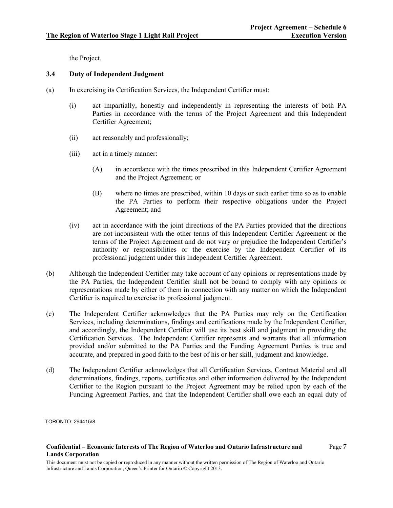the Project.

# <span id="page-6-0"></span>**3.4 Duty of Independent Judgment**

- (a) In exercising its Certification Services, the Independent Certifier must:
	- (i) act impartially, honestly and independently in representing the interests of both PA Parties in accordance with the terms of the Project Agreement and this Independent Certifier Agreement;
	- (ii) act reasonably and professionally;
	- (iii) act in a timely manner:
		- (A) in accordance with the times prescribed in this Independent Certifier Agreement and the Project Agreement; or
		- (B) where no times are prescribed, within 10 days or such earlier time so as to enable the PA Parties to perform their respective obligations under the Project Agreement; and
	- (iv) act in accordance with the joint directions of the PA Parties provided that the directions are not inconsistent with the other terms of this Independent Certifier Agreement or the terms of the Project Agreement and do not vary or prejudice the Independent Certifier's authority or responsibilities or the exercise by the Independent Certifier of its professional judgment under this Independent Certifier Agreement.
- (b) Although the Independent Certifier may take account of any opinions or representations made by the PA Parties, the Independent Certifier shall not be bound to comply with any opinions or representations made by either of them in connection with any matter on which the Independent Certifier is required to exercise its professional judgment.
- (c) The Independent Certifier acknowledges that the PA Parties may rely on the Certification Services, including determinations, findings and certifications made by the Independent Certifier, and accordingly, the Independent Certifier will use its best skill and judgment in providing the Certification Services. The Independent Certifier represents and warrants that all information provided and/or submitted to the PA Parties and the Funding Agreement Parties is true and accurate, and prepared in good faith to the best of his or her skill, judgment and knowledge.
- (d) The Independent Certifier acknowledges that all Certification Services, Contract Material and all determinations, findings, reports, certificates and other information delivered by the Independent Certifier to the Region pursuant to the Project Agreement may be relied upon by each of the Funding Agreement Parties, and that the Independent Certifier shall owe each an equal duty of

TORONTO: 294415\8

Page 7

**Confidential – Economic Interests of The Region of Waterloo and Ontario Infrastructure and Lands Corporation**

This document must not be copied or reproduced in any manner without the written permission of The Region of Waterloo and Ontario Infrastructure and Lands Corporation, Queen's Printer for Ontario © Copyright 2013.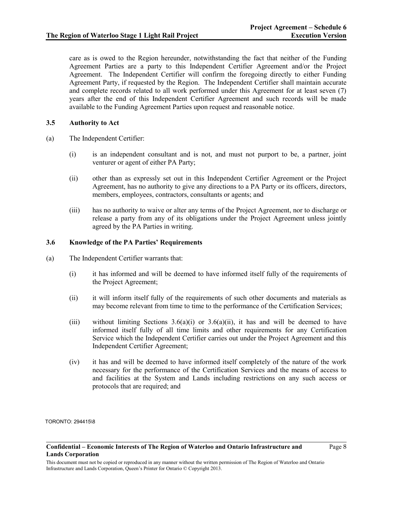care as is owed to the Region hereunder, notwithstanding the fact that neither of the Funding Agreement Parties are a party to this Independent Certifier Agreement and/or the Project Agreement. The Independent Certifier will confirm the foregoing directly to either Funding Agreement Party, if requested by the Region. The Independent Certifier shall maintain accurate and complete records related to all work performed under this Agreement for at least seven (7) years after the end of this Independent Certifier Agreement and such records will be made available to the Funding Agreement Parties upon request and reasonable notice.

## **3.5 Authority to Act**

- (a) The Independent Certifier:
	- (i) is an independent consultant and is not, and must not purport to be, a partner, joint venturer or agent of either PA Party;
	- (ii) other than as expressly set out in this Independent Certifier Agreement or the Project Agreement, has no authority to give any directions to a PA Party or its officers, directors, members, employees, contractors, consultants or agents; and
	- (iii) has no authority to waive or alter any terms of the Project Agreement, nor to discharge or release a party from any of its obligations under the Project Agreement unless jointly agreed by the PA Parties in writing.

## **3.6 Knowledge of the PA Parties' Requirements**

- <span id="page-7-1"></span><span id="page-7-0"></span>(a) The Independent Certifier warrants that:
	- (i) it has informed and will be deemed to have informed itself fully of the requirements of the Project Agreement;
	- (ii) it will inform itself fully of the requirements of such other documents and materials as may become relevant from time to time to the performance of the Certification Services;
	- (iii) without limiting Sections  $3.6(a)(i)$  or  $3.6(a)(ii)$ , it has and will be deemed to have informed itself fully of all time limits and other requirements for any Certification Service which the Independent Certifier carries out under the Project Agreement and this Independent Certifier Agreement;
	- (iv) it has and will be deemed to have informed itself completely of the nature of the work necessary for the performance of the Certification Services and the means of access to and facilities at the System and Lands including restrictions on any such access or protocols that are required; and

TORONTO: 294415\8

Page 8

**Confidential – Economic Interests of The Region of Waterloo and Ontario Infrastructure and Lands Corporation**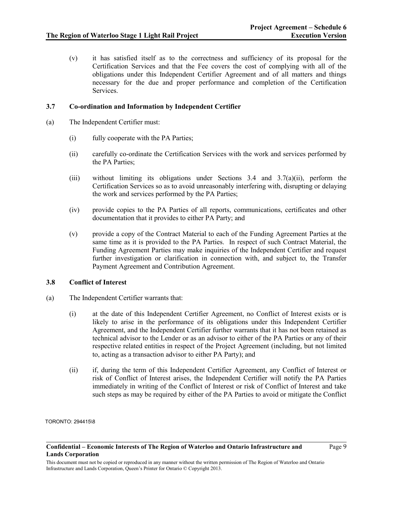(v) it has satisfied itself as to the correctness and sufficiency of its proposal for the Certification Services and that the Fee covers the cost of complying with all of the obligations under this Independent Certifier Agreement and of all matters and things necessary for the due and proper performance and completion of the Certification Services.

## **3.7 Co-ordination and Information by Independent Certifier**

- <span id="page-8-0"></span>(a) The Independent Certifier must:
	- (i) fully cooperate with the PA Parties;
	- (ii) carefully co-ordinate the Certification Services with the work and services performed by the PA Parties;
	- (iii) without limiting its obligations under Sections [3.4](#page-6-0) and [3.7\(a\)\(ii\),](#page-8-0) perform the Certification Services so as to avoid unreasonably interfering with, disrupting or delaying the work and services performed by the PA Parties;
	- (iv) provide copies to the PA Parties of all reports, communications, certificates and other documentation that it provides to either PA Party; and
	- (v) provide a copy of the Contract Material to each of the Funding Agreement Parties at the same time as it is provided to the PA Parties. In respect of such Contract Material, the Funding Agreement Parties may make inquiries of the Independent Certifier and request further investigation or clarification in connection with, and subject to, the Transfer Payment Agreement and Contribution Agreement.

## **3.8 Conflict of Interest**

- (a) The Independent Certifier warrants that:
	- (i) at the date of this Independent Certifier Agreement, no Conflict of Interest exists or is likely to arise in the performance of its obligations under this Independent Certifier Agreement, and the Independent Certifier further warrants that it has not been retained as technical advisor to the Lender or as an advisor to either of the PA Parties or any of their respective related entities in respect of the Project Agreement (including, but not limited to, acting as a transaction advisor to either PA Party); and
	- (ii) if, during the term of this Independent Certifier Agreement, any Conflict of Interest or risk of Conflict of Interest arises, the Independent Certifier will notify the PA Parties immediately in writing of the Conflict of Interest or risk of Conflict of Interest and take such steps as may be required by either of the PA Parties to avoid or mitigate the Conflict

TORONTO: 294415\8

This document must not be copied or reproduced in any manner without the written permission of The Region of Waterloo and Ontario Infrastructure and Lands Corporation, Queen's Printer for Ontario © Copyright 2013.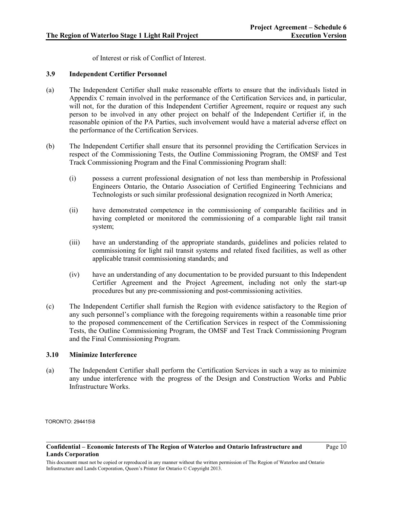of Interest or risk of Conflict of Interest.

## **3.9 Independent Certifier Personnel**

- (a) The Independent Certifier shall make reasonable efforts to ensure that the individuals listed in Appendix C remain involved in the performance of the Certification Services and, in particular, will not, for the duration of this Independent Certifier Agreement, require or request any such person to be involved in any other project on behalf of the Independent Certifier if, in the reasonable opinion of the PA Parties, such involvement would have a material adverse effect on the performance of the Certification Services.
- (b) The Independent Certifier shall ensure that its personnel providing the Certification Services in respect of the Commissioning Tests, the Outline Commissioning Program, the OMSF and Test Track Commissioning Program and the Final Commissioning Program shall:
	- (i) possess a current professional designation of not less than membership in Professional Engineers Ontario, the Ontario Association of Certified Engineering Technicians and Technologists or such similar professional designation recognized in North America;
	- (ii) have demonstrated competence in the commissioning of comparable facilities and in having completed or monitored the commissioning of a comparable light rail transit system;
	- (iii) have an understanding of the appropriate standards, guidelines and policies related to commissioning for light rail transit systems and related fixed facilities, as well as other applicable transit commissioning standards; and
	- (iv) have an understanding of any documentation to be provided pursuant to this Independent Certifier Agreement and the Project Agreement, including not only the start-up procedures but any pre-commissioning and post-commissioning activities.
- (c) The Independent Certifier shall furnish the Region with evidence satisfactory to the Region of any such personnel's compliance with the foregoing requirements within a reasonable time prior to the proposed commencement of the Certification Services in respect of the Commissioning Tests, the Outline Commissioning Program, the OMSF and Test Track Commissioning Program and the Final Commissioning Program.

## **3.10 Minimize Interference**

(a) The Independent Certifier shall perform the Certification Services in such a way as to minimize any undue interference with the progress of the Design and Construction Works and Public Infrastructure Works.

TORONTO: 294415\8

**Confidential – Economic Interests of The Region of Waterloo and Ontario Infrastructure and Lands Corporation**

Page 10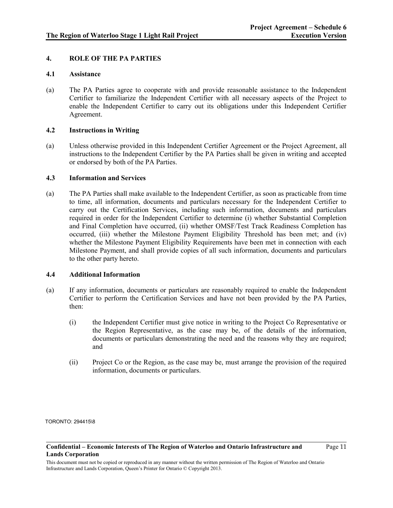## **4. ROLE OF THE PA PARTIES**

## **4.1 Assistance**

(a) The PA Parties agree to cooperate with and provide reasonable assistance to the Independent Certifier to familiarize the Independent Certifier with all necessary aspects of the Project to enable the Independent Certifier to carry out its obligations under this Independent Certifier Agreement.

### **4.2 Instructions in Writing**

(a) Unless otherwise provided in this Independent Certifier Agreement or the Project Agreement, all instructions to the Independent Certifier by the PA Parties shall be given in writing and accepted or endorsed by both of the PA Parties.

## **4.3 Information and Services**

(a) The PA Parties shall make available to the Independent Certifier, as soon as practicable from time to time, all information, documents and particulars necessary for the Independent Certifier to carry out the Certification Services, including such information, documents and particulars required in order for the Independent Certifier to determine (i) whether Substantial Completion and Final Completion have occurred, (ii) whether OMSF/Test Track Readiness Completion has occurred, (iii) whether the Milestone Payment Eligibility Threshold has been met; and (iv) whether the Milestone Payment Eligibility Requirements have been met in connection with each Milestone Payment, and shall provide copies of all such information, documents and particulars to the other party hereto.

### **4.4 Additional Information**

- (a) If any information, documents or particulars are reasonably required to enable the Independent Certifier to perform the Certification Services and have not been provided by the PA Parties, then:
	- (i) the Independent Certifier must give notice in writing to the Project Co Representative or the Region Representative, as the case may be, of the details of the information, documents or particulars demonstrating the need and the reasons why they are required; and
	- (ii) Project Co or the Region, as the case may be, must arrange the provision of the required information, documents or particulars.

TORONTO: 294415\8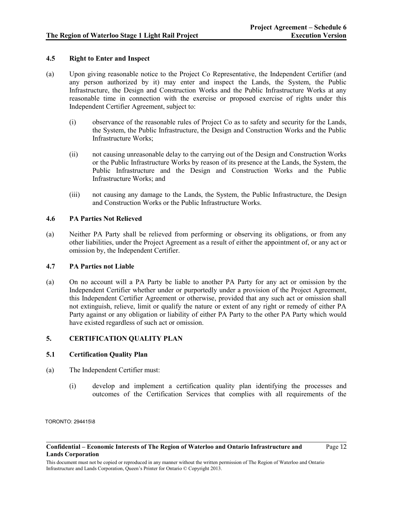## **4.5 Right to Enter and Inspect**

- (a) Upon giving reasonable notice to the Project Co Representative, the Independent Certifier (and any person authorized by it) may enter and inspect the Lands, the System, the Public Infrastructure, the Design and Construction Works and the Public Infrastructure Works at any reasonable time in connection with the exercise or proposed exercise of rights under this Independent Certifier Agreement, subject to:
	- (i) observance of the reasonable rules of Project Co as to safety and security for the Lands, the System, the Public Infrastructure, the Design and Construction Works and the Public Infrastructure Works;
	- (ii) not causing unreasonable delay to the carrying out of the Design and Construction Works or the Public Infrastructure Works by reason of its presence at the Lands, the System, the Public Infrastructure and the Design and Construction Works and the Public Infrastructure Works; and
	- (iii) not causing any damage to the Lands, the System, the Public Infrastructure, the Design and Construction Works or the Public Infrastructure Works.

# **4.6 PA Parties Not Relieved**

(a) Neither PA Party shall be relieved from performing or observing its obligations, or from any other liabilities, under the Project Agreement as a result of either the appointment of, or any act or omission by, the Independent Certifier.

## **4.7 PA Parties not Liable**

(a) On no account will a PA Party be liable to another PA Party for any act or omission by the Independent Certifier whether under or purportedly under a provision of the Project Agreement, this Independent Certifier Agreement or otherwise, provided that any such act or omission shall not extinguish, relieve, limit or qualify the nature or extent of any right or remedy of either PA Party against or any obligation or liability of either PA Party to the other PA Party which would have existed regardless of such act or omission.

# **5. CERTIFICATION QUALITY PLAN**

## **5.1 Certification Quality Plan**

- (a) The Independent Certifier must:
	- (i) develop and implement a certification quality plan identifying the processes and outcomes of the Certification Services that complies with all requirements of the

TORONTO: 294415\8

Page 12

**Confidential – Economic Interests of The Region of Waterloo and Ontario Infrastructure and Lands Corporation**

This document must not be copied or reproduced in any manner without the written permission of The Region of Waterloo and Ontario Infrastructure and Lands Corporation, Queen's Printer for Ontario © Copyright 2013.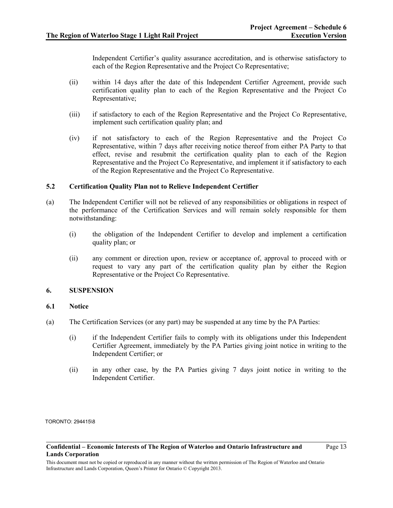Independent Certifier's quality assurance accreditation, and is otherwise satisfactory to each of the Region Representative and the Project Co Representative;

- (ii) within 14 days after the date of this Independent Certifier Agreement, provide such certification quality plan to each of the Region Representative and the Project Co Representative;
- (iii) if satisfactory to each of the Region Representative and the Project Co Representative, implement such certification quality plan; and
- (iv) if not satisfactory to each of the Region Representative and the Project Co Representative, within 7 days after receiving notice thereof from either PA Party to that effect, revise and resubmit the certification quality plan to each of the Region Representative and the Project Co Representative, and implement it if satisfactory to each of the Region Representative and the Project Co Representative.

## **5.2 Certification Quality Plan not to Relieve Independent Certifier**

- (a) The Independent Certifier will not be relieved of any responsibilities or obligations in respect of the performance of the Certification Services and will remain solely responsible for them notwithstanding:
	- (i) the obligation of the Independent Certifier to develop and implement a certification quality plan; or
	- (ii) any comment or direction upon, review or acceptance of, approval to proceed with or request to vary any part of the certification quality plan by either the Region Representative or the Project Co Representative.

### **6. SUSPENSION**

### **6.1 Notice**

- <span id="page-12-1"></span><span id="page-12-0"></span>(a) The Certification Services (or any part) may be suspended at any time by the PA Parties:
	- (i) if the Independent Certifier fails to comply with its obligations under this Independent Certifier Agreement, immediately by the PA Parties giving joint notice in writing to the Independent Certifier; or
	- (ii) in any other case, by the PA Parties giving 7 days joint notice in writing to the Independent Certifier.

TORONTO: 294415\8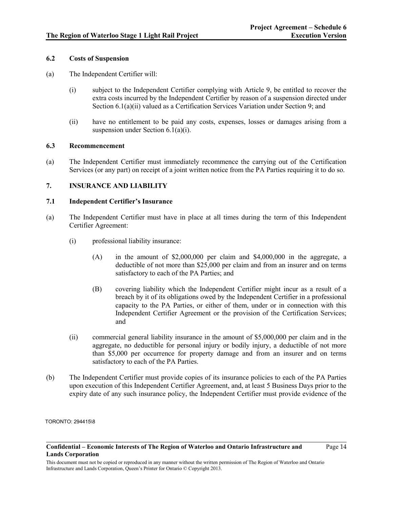## **6.2 Costs of Suspension**

- (a) The Independent Certifier will:
	- (i) subject to the Independent Certifier complying with Article 9, be entitled to recover the extra costs incurred by the Independent Certifier by reason of a suspension directed under Sectio[n 6.1\(a\)\(ii\)](#page-12-0) valued as a Certification Services Variation under Sectio[n 9;](#page-15-0) and
	- (ii) have no entitlement to be paid any costs, expenses, losses or damages arising from a suspension under Section [6.1\(a\)\(i\).](#page-12-1)

### **6.3 Recommencement**

(a) The Independent Certifier must immediately recommence the carrying out of the Certification Services (or any part) on receipt of a joint written notice from the PA Parties requiring it to do so.

### <span id="page-13-0"></span>**7. INSURANCE AND LIABILITY**

## **7.1 Independent Certifier's Insurance**

- (a) The Independent Certifier must have in place at all times during the term of this Independent Certifier Agreement:
	- (i) professional liability insurance:
		- (A) in the amount of \$2,000,000 per claim and \$4,000,000 in the aggregate, a deductible of not more than \$25,000 per claim and from an insurer and on terms satisfactory to each of the PA Parties; and
		- (B) covering liability which the Independent Certifier might incur as a result of a breach by it of its obligations owed by the Independent Certifier in a professional capacity to the PA Parties, or either of them, under or in connection with this Independent Certifier Agreement or the provision of the Certification Services; and
	- (ii) commercial general liability insurance in the amount of \$5,000,000 per claim and in the aggregate, no deductible for personal injury or bodily injury, a deductible of not more than \$5,000 per occurrence for property damage and from an insurer and on terms satisfactory to each of the PA Parties.
- (b) The Independent Certifier must provide copies of its insurance policies to each of the PA Parties upon execution of this Independent Certifier Agreement, and, at least 5 Business Days prior to the expiry date of any such insurance policy, the Independent Certifier must provide evidence of the

TORONTO: 294415\8

Page 14

**Confidential – Economic Interests of The Region of Waterloo and Ontario Infrastructure and Lands Corporation**

This document must not be copied or reproduced in any manner without the written permission of The Region of Waterloo and Ontario Infrastructure and Lands Corporation, Queen's Printer for Ontario © Copyright 2013.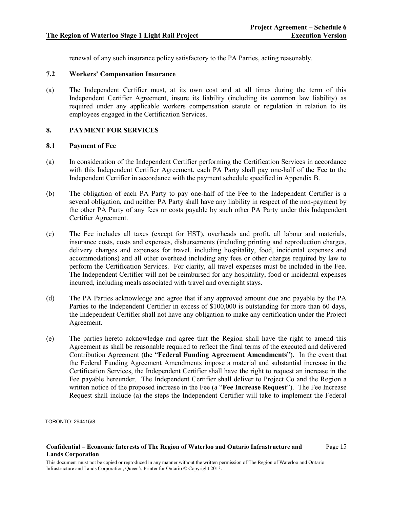Page 15

renewal of any such insurance policy satisfactory to the PA Parties, acting reasonably.

# **7.2 Workers' Compensation Insurance**

(a) The Independent Certifier must, at its own cost and at all times during the term of this Independent Certifier Agreement, insure its liability (including its common law liability) as required under any applicable workers compensation statute or regulation in relation to its employees engaged in the Certification Services.

# <span id="page-14-0"></span>**8. PAYMENT FOR SERVICES**

## **8.1 Payment of Fee**

- (a) In consideration of the Independent Certifier performing the Certification Services in accordance with this Independent Certifier Agreement, each PA Party shall pay one-half of the Fee to the Independent Certifier in accordance with the payment schedule specified in Appendix B.
- (b) The obligation of each PA Party to pay one-half of the Fee to the Independent Certifier is a several obligation, and neither PA Party shall have any liability in respect of the non-payment by the other PA Party of any fees or costs payable by such other PA Party under this Independent Certifier Agreement.
- (c) The Fee includes all taxes (except for HST), overheads and profit, all labour and materials, insurance costs, costs and expenses, disbursements (including printing and reproduction charges, delivery charges and expenses for travel, including hospitality, food, incidental expenses and accommodations) and all other overhead including any fees or other charges required by law to perform the Certification Services. For clarity, all travel expenses must be included in the Fee. The Independent Certifier will not be reimbursed for any hospitality, food or incidental expenses incurred, including meals associated with travel and overnight stays.
- (d) The PA Parties acknowledge and agree that if any approved amount due and payable by the PA Parties to the Independent Certifier in excess of \$100,000 is outstanding for more than 60 days, the Independent Certifier shall not have any obligation to make any certification under the Project Agreement.
- (e) The parties hereto acknowledge and agree that the Region shall have the right to amend this Agreement as shall be reasonable required to reflect the final terms of the executed and delivered Contribution Agreement (the "**Federal Funding Agreement Amendments**"). In the event that the Federal Funding Agreement Amendments impose a material and substantial increase in the Certification Services, the Independent Certifier shall have the right to request an increase in the Fee payable hereunder. The Independent Certifier shall deliver to Project Co and the Region a written notice of the proposed increase in the Fee (a "**Fee Increase Request**"). The Fee Increase Request shall include (a) the steps the Independent Certifier will take to implement the Federal

TORONTO: 294415\8

**Confidential – Economic Interests of The Region of Waterloo and Ontario Infrastructure and Lands Corporation**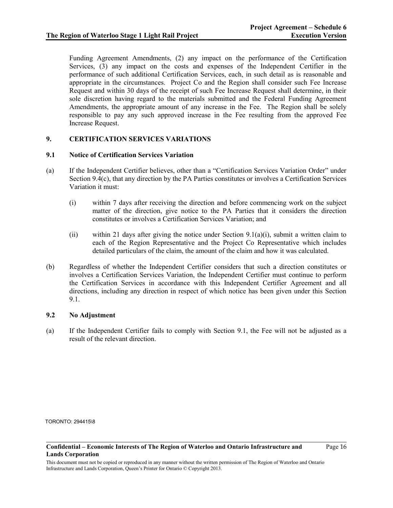Funding Agreement Amendments, (2) any impact on the performance of the Certification Services, (3) any impact on the costs and expenses of the Independent Certifier in the performance of such additional Certification Services, each, in such detail as is reasonable and appropriate in the circumstances. Project Co and the Region shall consider such Fee Increase Request and within 30 days of the receipt of such Fee Increase Request shall determine, in their sole discretion having regard to the materials submitted and the Federal Funding Agreement Amendments, the appropriate amount of any increase in the Fee. The Region shall be solely responsible to pay any such approved increase in the Fee resulting from the approved Fee Increase Request.

# <span id="page-15-0"></span>**9. CERTIFICATION SERVICES VARIATIONS**

### <span id="page-15-2"></span>**9.1 Notice of Certification Services Variation**

- <span id="page-15-1"></span>(a) If the Independent Certifier believes, other than a "Certification Services Variation Order" under Section [9.4\(c\),](#page-16-0) that any direction by the PA Parties constitutes or involves a Certification Services Variation it must:
	- (i) within 7 days after receiving the direction and before commencing work on the subject matter of the direction, give notice to the PA Parties that it considers the direction constitutes or involves a Certification Services Variation; and
	- (ii) within 21 days after giving the notice under Section  $9.1(a)(i)$ , submit a written claim to each of the Region Representative and the Project Co Representative which includes detailed particulars of the claim, the amount of the claim and how it was calculated.
- (b) Regardless of whether the Independent Certifier considers that such a direction constitutes or involves a Certification Services Variation, the Independent Certifier must continue to perform the Certification Services in accordance with this Independent Certifier Agreement and all directions, including any direction in respect of which notice has been given under this Section [9.1.](#page-15-2)

## <span id="page-15-3"></span>**9.2 No Adjustment**

(a) If the Independent Certifier fails to comply with Section [9.1,](#page-15-2) the Fee will not be adjusted as a result of the relevant direction.

TORONTO: 294415\8

#### **Confidential – Economic Interests of The Region of Waterloo and Ontario Infrastructure and Lands Corporation**

Page 16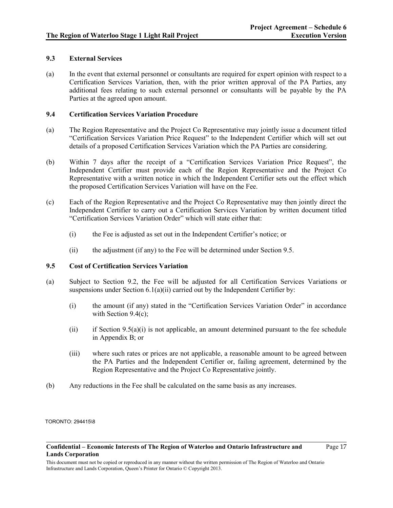## **9.3 External Services**

(a) In the event that external personnel or consultants are required for expert opinion with respect to a Certification Services Variation, then, with the prior written approval of the PA Parties, any additional fees relating to such external personnel or consultants will be payable by the PA Parties at the agreed upon amount.

## **9.4 Certification Services Variation Procedure**

- (a) The Region Representative and the Project Co Representative may jointly issue a document titled "Certification Services Variation Price Request" to the Independent Certifier which will set out details of a proposed Certification Services Variation which the PA Parties are considering.
- (b) Within 7 days after the receipt of a "Certification Services Variation Price Request", the Independent Certifier must provide each of the Region Representative and the Project Co Representative with a written notice in which the Independent Certifier sets out the effect which the proposed Certification Services Variation will have on the Fee.
- <span id="page-16-0"></span>(c) Each of the Region Representative and the Project Co Representative may then jointly direct the Independent Certifier to carry out a Certification Services Variation by written document titled "Certification Services Variation Order" which will state either that:
	- (i) the Fee is adjusted as set out in the Independent Certifier's notice; or
	- (ii) the adjustment (if any) to the Fee will be determined under Section [9.5.](#page-16-1)

### <span id="page-16-1"></span>**9.5 Cost of Certification Services Variation**

- <span id="page-16-2"></span>(a) Subject to Section [9.2,](#page-15-3) the Fee will be adjusted for all Certification Services Variations or suspensions under Section [6.1\(a\)\(ii\)](#page-12-0) carried out by the Independent Certifier by:
	- (i) the amount (if any) stated in the "Certification Services Variation Order" in accordance with Section [9.4\(c\);](#page-16-0)
	- (ii) if Section  $9.5(a)(i)$  is not applicable, an amount determined pursuant to the fee schedule in Appendix B; or
	- (iii) where such rates or prices are not applicable, a reasonable amount to be agreed between the PA Parties and the Independent Certifier or, failing agreement, determined by the Region Representative and the Project Co Representative jointly.
- (b) Any reductions in the Fee shall be calculated on the same basis as any increases.

TORONTO: 294415\8

#### **Confidential – Economic Interests of The Region of Waterloo and Ontario Infrastructure and Lands Corporation**

Page 17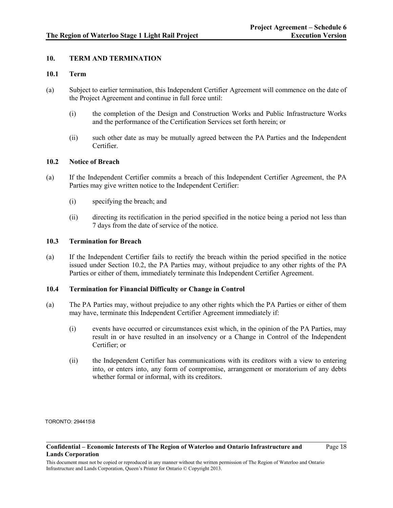## **10. TERM AND TERMINATION**

## **10.1 Term**

- (a) Subject to earlier termination, this Independent Certifier Agreement will commence on the date of the Project Agreement and continue in full force until:
	- (i) the completion of the Design and Construction Works and Public Infrastructure Works and the performance of the Certification Services set forth herein; or
	- (ii) such other date as may be mutually agreed between the PA Parties and the Independent Certifier.

### <span id="page-17-0"></span>**10.2 Notice of Breach**

- (a) If the Independent Certifier commits a breach of this Independent Certifier Agreement, the PA Parties may give written notice to the Independent Certifier:
	- (i) specifying the breach; and
	- (ii) directing its rectification in the period specified in the notice being a period not less than 7 days from the date of service of the notice.

### <span id="page-17-1"></span>**10.3 Termination for Breach**

(a) If the Independent Certifier fails to rectify the breach within the period specified in the notice issued under Section [10.2,](#page-17-0) the PA Parties may, without prejudice to any other rights of the PA Parties or either of them, immediately terminate this Independent Certifier Agreement.

### <span id="page-17-2"></span>**10.4 Termination for Financial Difficulty or Change in Control**

- (a) The PA Parties may, without prejudice to any other rights which the PA Parties or either of them may have, terminate this Independent Certifier Agreement immediately if:
	- (i) events have occurred or circumstances exist which, in the opinion of the PA Parties, may result in or have resulted in an insolvency or a Change in Control of the Independent Certifier; or
	- (ii) the Independent Certifier has communications with its creditors with a view to entering into, or enters into, any form of compromise, arrangement or moratorium of any debts whether formal or informal, with its creditors.

TORONTO: 294415\8

#### **Confidential – Economic Interests of The Region of Waterloo and Ontario Infrastructure and Lands Corporation**

Page 18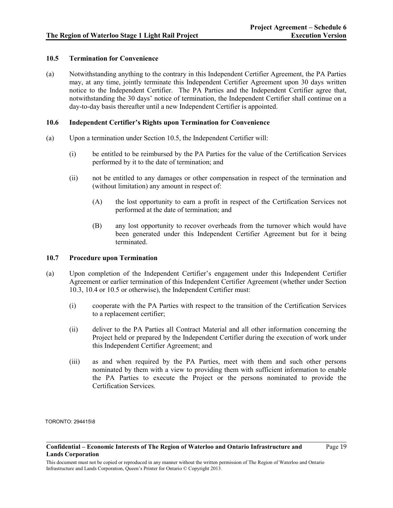## <span id="page-18-0"></span>**10.5 Termination for Convenience**

(a) Notwithstanding anything to the contrary in this Independent Certifier Agreement, the PA Parties may, at any time, jointly terminate this Independent Certifier Agreement upon 30 days written notice to the Independent Certifier. The PA Parties and the Independent Certifier agree that, notwithstanding the 30 days' notice of termination, the Independent Certifier shall continue on a day-to-day basis thereafter until a new Independent Certifier is appointed.

### <span id="page-18-1"></span>**10.6 Independent Certifier's Rights upon Termination for Convenience**

- (a) Upon a termination under Section [10.5,](#page-18-0) the Independent Certifier will:
	- (i) be entitled to be reimbursed by the PA Parties for the value of the Certification Services performed by it to the date of termination; and
	- (ii) not be entitled to any damages or other compensation in respect of the termination and (without limitation) any amount in respect of:
		- (A) the lost opportunity to earn a profit in respect of the Certification Services not performed at the date of termination; and
		- (B) any lost opportunity to recover overheads from the turnover which would have been generated under this Independent Certifier Agreement but for it being terminated.

### <span id="page-18-2"></span>**10.7 Procedure upon Termination**

- (a) Upon completion of the Independent Certifier's engagement under this Independent Certifier Agreement or earlier termination of this Independent Certifier Agreement (whether under Section [10.3,](#page-17-1) [10.4](#page-17-2) o[r 10.5](#page-18-0) or otherwise), the Independent Certifier must:
	- (i) cooperate with the PA Parties with respect to the transition of the Certification Services to a replacement certifier;
	- (ii) deliver to the PA Parties all Contract Material and all other information concerning the Project held or prepared by the Independent Certifier during the execution of work under this Independent Certifier Agreement; and
	- (iii) as and when required by the PA Parties, meet with them and such other persons nominated by them with a view to providing them with sufficient information to enable the PA Parties to execute the Project or the persons nominated to provide the Certification Services.

TORONTO: 294415\8

Page 19

**Confidential – Economic Interests of The Region of Waterloo and Ontario Infrastructure and Lands Corporation**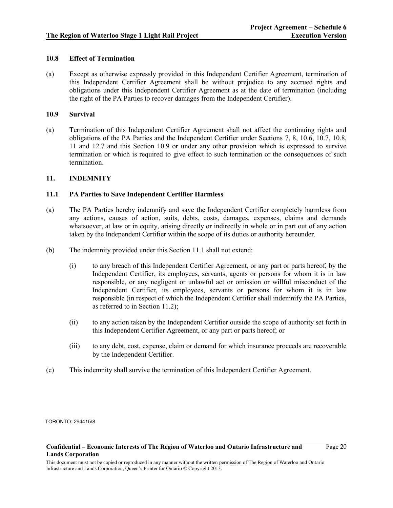## <span id="page-19-0"></span>**10.8 Effect of Termination**

(a) Except as otherwise expressly provided in this Independent Certifier Agreement, termination of this Independent Certifier Agreement shall be without prejudice to any accrued rights and obligations under this Independent Certifier Agreement as at the date of termination (including the right of the PA Parties to recover damages from the Independent Certifier).

### <span id="page-19-2"></span>**10.9 Survival**

(a) Termination of this Independent Certifier Agreement shall not affect the continuing rights and obligations of the PA Parties and the Independent Certifier under Sections [7,](#page-13-0) [8,](#page-14-0) [10.6,](#page-18-1) [10.7,](#page-18-2) [10.8,](#page-19-0) [11](#page-19-1) and [12.7](#page-24-0) and this Section [10.9](#page-19-2) or under any other provision which is expressed to survive termination or which is required to give effect to such termination or the consequences of such termination.

## <span id="page-19-1"></span>**11. INDEMNITY**

### <span id="page-19-3"></span>**11.1 PA Parties to Save Independent Certifier Harmless**

- (a) The PA Parties hereby indemnify and save the Independent Certifier completely harmless from any actions, causes of action, suits, debts, costs, damages, expenses, claims and demands whatsoever, at law or in equity, arising directly or indirectly in whole or in part out of any action taken by the Independent Certifier within the scope of its duties or authority hereunder.
- (b) The indemnity provided under this Section [11.1](#page-19-3) shall not extend:
	- (i) to any breach of this Independent Certifier Agreement, or any part or parts hereof, by the Independent Certifier, its employees, servants, agents or persons for whom it is in law responsible, or any negligent or unlawful act or omission or willful misconduct of the Independent Certifier, its employees, servants or persons for whom it is in law responsible (in respect of which the Independent Certifier shall indemnify the PA Parties, as referred to in Section [11.2\)](#page-20-0);
	- (ii) to any action taken by the Independent Certifier outside the scope of authority set forth in this Independent Certifier Agreement, or any part or parts hereof; or
	- (iii) to any debt, cost, expense, claim or demand for which insurance proceeds are recoverable by the Independent Certifier.
- (c) This indemnity shall survive the termination of this Independent Certifier Agreement.

TORONTO: 294415\8

#### **Confidential – Economic Interests of The Region of Waterloo and Ontario Infrastructure and Lands Corporation**

Page 20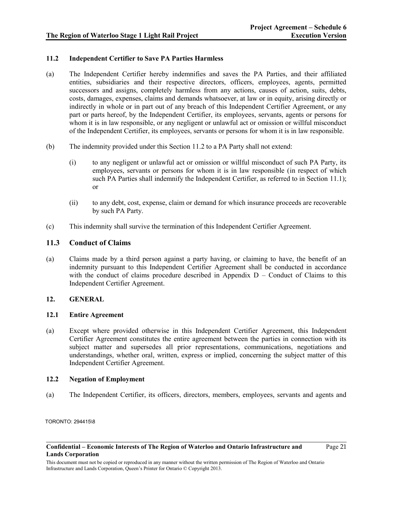## <span id="page-20-0"></span>**11.2 Independent Certifier to Save PA Parties Harmless**

- (a) The Independent Certifier hereby indemnifies and saves the PA Parties, and their affiliated entities, subsidiaries and their respective directors, officers, employees, agents, permitted successors and assigns, completely harmless from any actions, causes of action, suits, debts, costs, damages, expenses, claims and demands whatsoever, at law or in equity, arising directly or indirectly in whole or in part out of any breach of this Independent Certifier Agreement, or any part or parts hereof, by the Independent Certifier, its employees, servants, agents or persons for whom it is in law responsible, or any negligent or unlawful act or omission or willful misconduct of the Independent Certifier, its employees, servants or persons for whom it is in law responsible.
- (b) The indemnity provided under this Section [11.2](#page-20-0) to a PA Party shall not extend:
	- (i) to any negligent or unlawful act or omission or willful misconduct of such PA Party, its employees, servants or persons for whom it is in law responsible (in respect of which such PA Parties shall indemnify the Independent Certifier, as referred to in Section [11.1\)](#page-19-3); or
	- (ii) to any debt, cost, expense, claim or demand for which insurance proceeds are recoverable by such PA Party.
- (c) This indemnity shall survive the termination of this Independent Certifier Agreement.

## **11.3 Conduct of Claims**

(a) Claims made by a third person against a party having, or claiming to have, the benefit of an indemnity pursuant to this Independent Certifier Agreement shall be conducted in accordance with the conduct of claims procedure described in Appendix  $D -$ Conduct of Claims to this Independent Certifier Agreement.

### **12. GENERAL**

### **12.1 Entire Agreement**

(a) Except where provided otherwise in this Independent Certifier Agreement, this Independent Certifier Agreement constitutes the entire agreement between the parties in connection with its subject matter and supersedes all prior representations, communications, negotiations and understandings, whether oral, written, express or implied, concerning the subject matter of this Independent Certifier Agreement.

## **12.2 Negation of Employment**

(a) The Independent Certifier, its officers, directors, members, employees, servants and agents and

TORONTO: 294415\8

#### **Confidential – Economic Interests of The Region of Waterloo and Ontario Infrastructure and Lands Corporation**

Page 21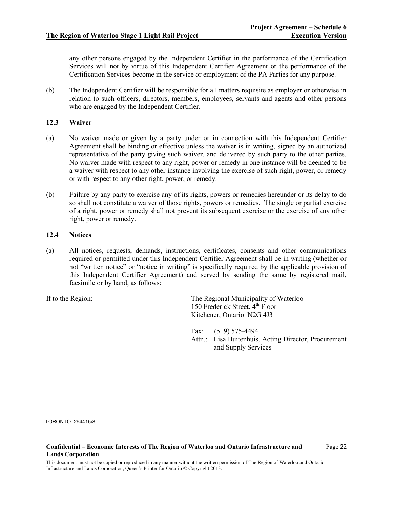any other persons engaged by the Independent Certifier in the performance of the Certification Services will not by virtue of this Independent Certifier Agreement or the performance of the Certification Services become in the service or employment of the PA Parties for any purpose.

(b) The Independent Certifier will be responsible for all matters requisite as employer or otherwise in relation to such officers, directors, members, employees, servants and agents and other persons who are engaged by the Independent Certifier.

## **12.3 Waiver**

- (a) No waiver made or given by a party under or in connection with this Independent Certifier Agreement shall be binding or effective unless the waiver is in writing, signed by an authorized representative of the party giving such waiver, and delivered by such party to the other parties. No waiver made with respect to any right, power or remedy in one instance will be deemed to be a waiver with respect to any other instance involving the exercise of such right, power, or remedy or with respect to any other right, power, or remedy.
- (b) Failure by any party to exercise any of its rights, powers or remedies hereunder or its delay to do so shall not constitute a waiver of those rights, powers or remedies. The single or partial exercise of a right, power or remedy shall not prevent its subsequent exercise or the exercise of any other right, power or remedy.

### <span id="page-21-1"></span>**12.4 Notices**

<span id="page-21-0"></span>(a) All notices, requests, demands, instructions, certificates, consents and other communications required or permitted under this Independent Certifier Agreement shall be in writing (whether or not "written notice" or "notice in writing" is specifically required by the applicable provision of this Independent Certifier Agreement) and served by sending the same by registered mail, facsimile or by hand, as follows:

If to the Region: The Regional Municipality of Waterloo 150 Frederick Street,  $4<sup>th</sup>$  Floor Kitchener, Ontario N2G 4J3

> Fax: (519) 575-4494 Attn.: Lisa Buitenhuis, Acting Director, Procurement and Supply Services

TORONTO: 294415\8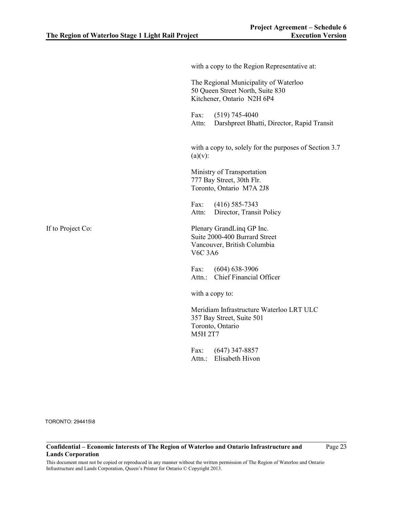|                   | with a copy to the Region Representative at:                                                                |
|-------------------|-------------------------------------------------------------------------------------------------------------|
|                   | The Regional Municipality of Waterloo<br>50 Queen Street North, Suite 830<br>Kitchener, Ontario N2H 6P4     |
|                   | Fax:<br>$(519)$ 745-4040<br>Darshpreet Bhatti, Director, Rapid Transit<br>Attn:                             |
|                   | with a copy to, solely for the purposes of Section 3.7<br>$(a)(v)$ :                                        |
|                   | Ministry of Transportation<br>777 Bay Street, 30th Flr.<br>Toronto, Ontario M7A 2J8                         |
|                   | $(416)$ 585-7343<br>Fax:<br>Director, Transit Policy<br>Attn:                                               |
| If to Project Co: | Plenary GrandLing GP Inc.<br>Suite 2000-400 Burrard Street<br>Vancouver, British Columbia<br><b>V6C 3A6</b> |
|                   | Fax: (604) 638-3906<br>Attn.: Chief Financial Officer                                                       |
|                   | with a copy to:                                                                                             |
|                   | Meridiam Infrastructure Waterloo LRT ULC<br>357 Bay Street, Suite 501<br>Toronto, Ontario<br><b>M5H 2T7</b> |
|                   | Fax: $(647)$ 347-8857<br>Attn.: Elisabeth Hivon                                                             |
|                   |                                                                                                             |

**Confidential – Economic Interests of The Region of Waterloo and Ontario Infrastructure and Lands Corporation**

Page 23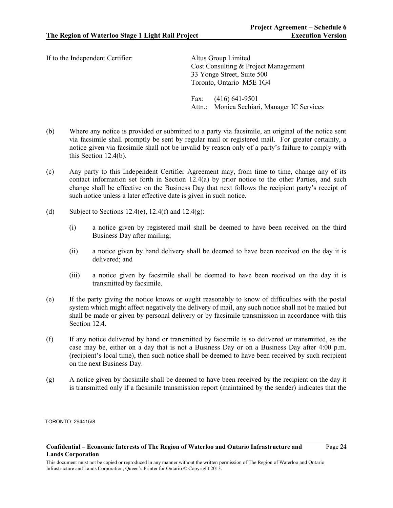If to the Independent Certifier: Altus Group Limited

Cost Consulting & Project Management 33 Yonge Street, Suite 500 Toronto, Ontario M5E 1G4

Fax: (416) 641-9501 Attn.: Monica Sechiari, Manager IC Services

- <span id="page-23-0"></span>(b) Where any notice is provided or submitted to a party via facsimile, an original of the notice sent via facsimile shall promptly be sent by regular mail or registered mail. For greater certainty, a notice given via facsimile shall not be invalid by reason only of a party's failure to comply with this Section [12.4\(b\).](#page-23-0)
- (c) Any party to this Independent Certifier Agreement may, from time to time, change any of its contact information set forth in Section [12.4\(a\)](#page-21-0) by prior notice to the other Parties, and such change shall be effective on the Business Day that next follows the recipient party's receipt of such notice unless a later effective date is given in such notice.
- (d) Subject to Sections  $12.4(e)$ ,  $12.4(f)$  and  $12.4(g)$ :
	- (i) a notice given by registered mail shall be deemed to have been received on the third Business Day after mailing;
	- (ii) a notice given by hand delivery shall be deemed to have been received on the day it is delivered; and
	- (iii) a notice given by facsimile shall be deemed to have been received on the day it is transmitted by facsimile.
- <span id="page-23-1"></span>(e) If the party giving the notice knows or ought reasonably to know of difficulties with the postal system which might affect negatively the delivery of mail, any such notice shall not be mailed but shall be made or given by personal delivery or by facsimile transmission in accordance with this Sectio[n 12.4.](#page-21-1)
- <span id="page-23-2"></span>(f) If any notice delivered by hand or transmitted by facsimile is so delivered or transmitted, as the case may be, either on a day that is not a Business Day or on a Business Day after 4:00 p.m. (recipient's local time), then such notice shall be deemed to have been received by such recipient on the next Business Day.
- <span id="page-23-3"></span>(g) A notice given by facsimile shall be deemed to have been received by the recipient on the day it is transmitted only if a facsimile transmission report (maintained by the sender) indicates that the

TORONTO: 294415\8

Page 24

**Confidential – Economic Interests of The Region of Waterloo and Ontario Infrastructure and Lands Corporation**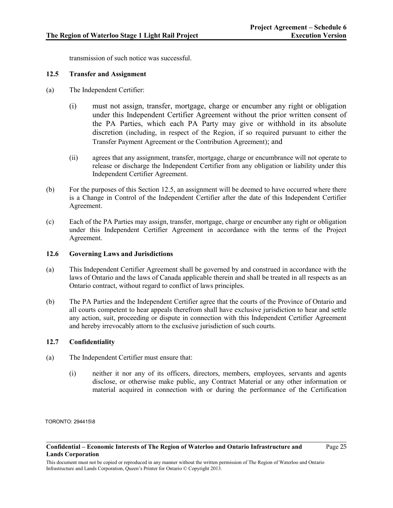transmission of such notice was successful.

### <span id="page-24-1"></span>**12.5 Transfer and Assignment**

- (a) The Independent Certifier:
	- (i) must not assign, transfer, mortgage, charge or encumber any right or obligation under this Independent Certifier Agreement without the prior written consent of the PA Parties, which each PA Party may give or withhold in its absolute discretion (including, in respect of the Region, if so required pursuant to either the Transfer Payment Agreement or the Contribution Agreement); and
	- (ii) agrees that any assignment, transfer, mortgage, charge or encumbrance will not operate to release or discharge the Independent Certifier from any obligation or liability under this Independent Certifier Agreement.
- (b) For the purposes of this Section [12.5,](#page-24-1) an assignment will be deemed to have occurred where there is a Change in Control of the Independent Certifier after the date of this Independent Certifier Agreement.
- (c) Each of the PA Parties may assign, transfer, mortgage, charge or encumber any right or obligation under this Independent Certifier Agreement in accordance with the terms of the Project Agreement.

### **12.6 Governing Laws and Jurisdictions**

- (a) This Independent Certifier Agreement shall be governed by and construed in accordance with the laws of Ontario and the laws of Canada applicable therein and shall be treated in all respects as an Ontario contract, without regard to conflict of laws principles.
- (b) The PA Parties and the Independent Certifier agree that the courts of the Province of Ontario and all courts competent to hear appeals therefrom shall have exclusive jurisdiction to hear and settle any action, suit, proceeding or dispute in connection with this Independent Certifier Agreement and hereby irrevocably attorn to the exclusive jurisdiction of such courts.

## <span id="page-24-0"></span>**12.7 Confidentiality**

- (a) The Independent Certifier must ensure that:
	- (i) neither it nor any of its officers, directors, members, employees, servants and agents disclose, or otherwise make public, any Contract Material or any other information or material acquired in connection with or during the performance of the Certification

TORONTO: 294415\8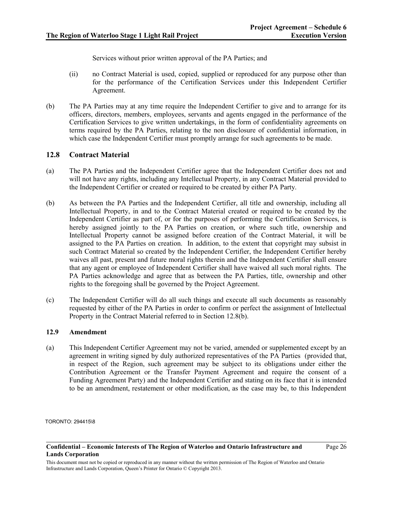Services without prior written approval of the PA Parties; and

- (ii) no Contract Material is used, copied, supplied or reproduced for any purpose other than for the performance of the Certification Services under this Independent Certifier Agreement.
- (b) The PA Parties may at any time require the Independent Certifier to give and to arrange for its officers, directors, members, employees, servants and agents engaged in the performance of the Certification Services to give written undertakings, in the form of confidentiality agreements on terms required by the PA Parties, relating to the non disclosure of confidential information, in which case the Independent Certifier must promptly arrange for such agreements to be made.

# **12.8 Contract Material**

- (a) The PA Parties and the Independent Certifier agree that the Independent Certifier does not and will not have any rights, including any Intellectual Property, in any Contract Material provided to the Independent Certifier or created or required to be created by either PA Party.
- <span id="page-25-0"></span>(b) As between the PA Parties and the Independent Certifier, all title and ownership, including all Intellectual Property, in and to the Contract Material created or required to be created by the Independent Certifier as part of, or for the purposes of performing the Certification Services, is hereby assigned jointly to the PA Parties on creation, or where such title, ownership and Intellectual Property cannot be assigned before creation of the Contract Material, it will be assigned to the PA Parties on creation. In addition, to the extent that copyright may subsist in such Contract Material so created by the Independent Certifier, the Independent Certifier hereby waives all past, present and future moral rights therein and the Independent Certifier shall ensure that any agent or employee of Independent Certifier shall have waived all such moral rights. The PA Parties acknowledge and agree that as between the PA Parties, title, ownership and other rights to the foregoing shall be governed by the Project Agreement.
- (c) The Independent Certifier will do all such things and execute all such documents as reasonably requested by either of the PA Parties in order to confirm or perfect the assignment of Intellectual Property in the Contract Material referred to in Section [12.8\(b\).](#page-25-0)

## **12.9 Amendment**

(a) This Independent Certifier Agreement may not be varied, amended or supplemented except by an agreement in writing signed by duly authorized representatives of the PA Parties (provided that, in respect of the Region, such agreement may be subject to its obligations under either the Contribution Agreement or the Transfer Payment Agreement and require the consent of a Funding Agreement Party) and the Independent Certifier and stating on its face that it is intended to be an amendment, restatement or other modification, as the case may be, to this Independent

TORONTO: 294415\8

**Confidential – Economic Interests of The Region of Waterloo and Ontario Infrastructure and Lands Corporation**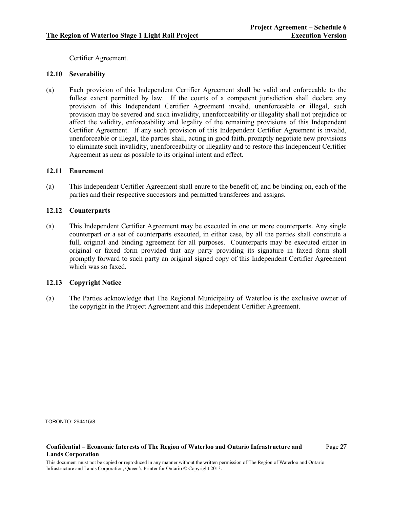Certifier Agreement.

## **12.10 Severability**

(a) Each provision of this Independent Certifier Agreement shall be valid and enforceable to the fullest extent permitted by law. If the courts of a competent jurisdiction shall declare any provision of this Independent Certifier Agreement invalid, unenforceable or illegal, such provision may be severed and such invalidity, unenforceability or illegality shall not prejudice or affect the validity, enforceability and legality of the remaining provisions of this Independent Certifier Agreement. If any such provision of this Independent Certifier Agreement is invalid, unenforceable or illegal, the parties shall, acting in good faith, promptly negotiate new provisions to eliminate such invalidity, unenforceability or illegality and to restore this Independent Certifier Agreement as near as possible to its original intent and effect.

### **12.11 Enurement**

(a) This Independent Certifier Agreement shall enure to the benefit of, and be binding on, each of the parties and their respective successors and permitted transferees and assigns.

### **12.12 Counterparts**

(a) This Independent Certifier Agreement may be executed in one or more counterparts. Any single counterpart or a set of counterparts executed, in either case, by all the parties shall constitute a full, original and binding agreement for all purposes. Counterparts may be executed either in original or faxed form provided that any party providing its signature in faxed form shall promptly forward to such party an original signed copy of this Independent Certifier Agreement which was so faxed.

### **12.13 Copyright Notice**

(a) The Parties acknowledge that The Regional Municipality of Waterloo is the exclusive owner of the copyright in the Project Agreement and this Independent Certifier Agreement.

TORONTO: 294415\8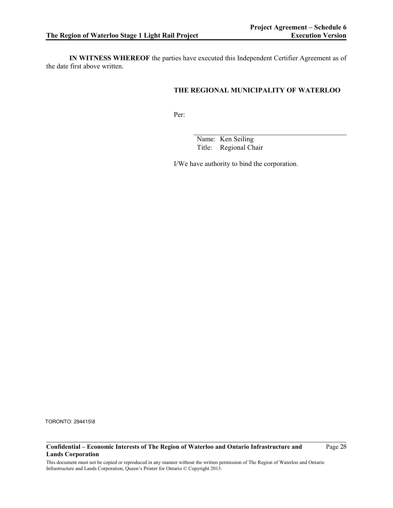**IN WITNESS WHEREOF** the parties have executed this Independent Certifier Agreement as of the date first above written.

# **THE REGIONAL MUNICIPALITY OF WATERLOO**

Per:

Name: Ken Seiling Title: Regional Chair

I/We have authority to bind the corporation.

TORONTO: 294415\8

#### **Confidential – Economic Interests of The Region of Waterloo and Ontario Infrastructure and Lands Corporation**

Page 28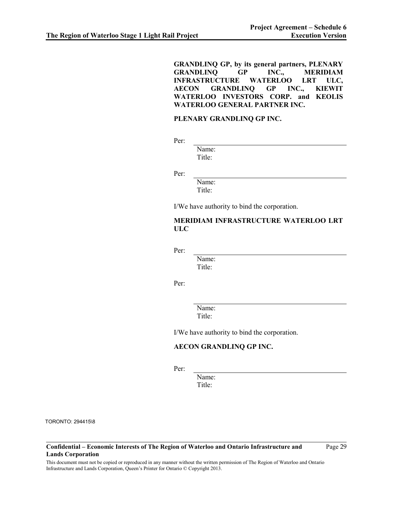**GRANDLINQ GP, by its general partners, PLENARY GRANDLINQ GP INC., MERIDIAM INFRASTRUCTURE WATERLOO LRT ULC, AECON GRANDLINQ GP INC., KIEWIT WATERLOO INVESTORS CORP. and KEOLIS WATERLOO GENERAL PARTNER INC.**

## **PLENARY GRANDLINQ GP INC.**

Per:

Name: Title:

Per:

Name: Title:

I/We have authority to bind the corporation.

# **MERIDIAM INFRASTRUCTURE WATERLOO LRT ULC**

Per:

Name: Title:

Per:

Name: Title:

I/We have authority to bind the corporation.

## **AECON GRANDLINQ GP INC.**

Per:

Name: Title:

TORONTO: 294415\8

**Confidential – Economic Interests of The Region of Waterloo and Ontario Infrastructure and Lands Corporation**

Page 29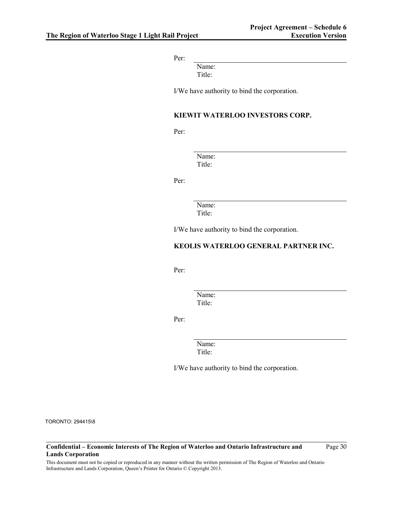Per:

Name: Title:

I/We have authority to bind the corporation.

### **KIEWIT WATERLOO INVESTORS CORP.**

Per:

Name: Title:

Per:

Name: Title:

I/We have authority to bind the corporation.

### **KEOLIS WATERLOO GENERAL PARTNER INC.**

Per:

Name: Title:

Per:

Name: Title:

I/We have authority to bind the corporation.

TORONTO: 294415\8

**Confidential – Economic Interests of The Region of Waterloo and Ontario Infrastructure and Lands Corporation**

Page 30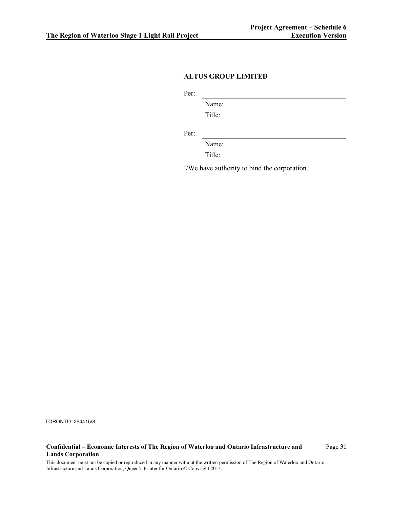## **ALTUS GROUP LIMITED**

Per:

Name: Title:

Per:

Name:

Title:

I/We have authority to bind the corporation.

TORONTO: 294415\8

### **Confidential – Economic Interests of The Region of Waterloo and Ontario Infrastructure and Lands Corporation**

Page 31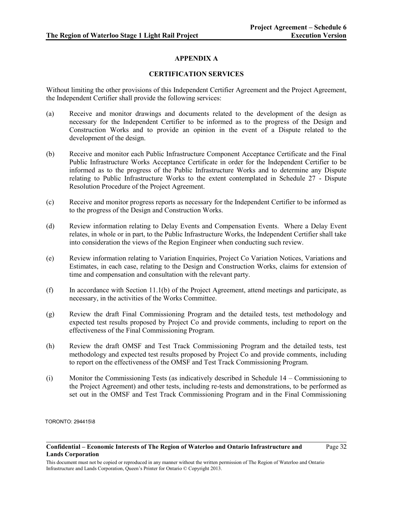# **APPENDIX A**

## **CERTIFICATION SERVICES**

Without limiting the other provisions of this Independent Certifier Agreement and the Project Agreement, the Independent Certifier shall provide the following services:

- (a) Receive and monitor drawings and documents related to the development of the design as necessary for the Independent Certifier to be informed as to the progress of the Design and Construction Works and to provide an opinion in the event of a Dispute related to the development of the design.
- (b) Receive and monitor each Public Infrastructure Component Acceptance Certificate and the Final Public Infrastructure Works Acceptance Certificate in order for the Independent Certifier to be informed as to the progress of the Public Infrastructure Works and to determine any Dispute relating to Public Infrastructure Works to the extent contemplated in Schedule 27 - Dispute Resolution Procedure of the Project Agreement.
- (c) Receive and monitor progress reports as necessary for the Independent Certifier to be informed as to the progress of the Design and Construction Works.
- (d) Review information relating to Delay Events and Compensation Events. Where a Delay Event relates, in whole or in part, to the Public Infrastructure Works, the Independent Certifier shall take into consideration the views of the Region Engineer when conducting such review.
- (e) Review information relating to Variation Enquiries, Project Co Variation Notices, Variations and Estimates, in each case, relating to the Design and Construction Works, claims for extension of time and compensation and consultation with the relevant party.
- (f) In accordance with Section 11.1(b) of the Project Agreement, attend meetings and participate, as necessary, in the activities of the Works Committee.
- (g) Review the draft Final Commissioning Program and the detailed tests, test methodology and expected test results proposed by Project Co and provide comments, including to report on the effectiveness of the Final Commissioning Program.
- (h) Review the draft OMSF and Test Track Commissioning Program and the detailed tests, test methodology and expected test results proposed by Project Co and provide comments, including to report on the effectiveness of the OMSF and Test Track Commissioning Program.
- (i) Monitor the Commissioning Tests (as indicatively described in Schedule 14 Commissioning to the Project Agreement) and other tests, including re-tests and demonstrations, to be performed as set out in the OMSF and Test Track Commissioning Program and in the Final Commissioning

TORONTO: 294415\8

Page 32

**Confidential – Economic Interests of The Region of Waterloo and Ontario Infrastructure and Lands Corporation**

This document must not be copied or reproduced in any manner without the written permission of The Region of Waterloo and Ontario Infrastructure and Lands Corporation, Queen's Printer for Ontario © Copyright 2013.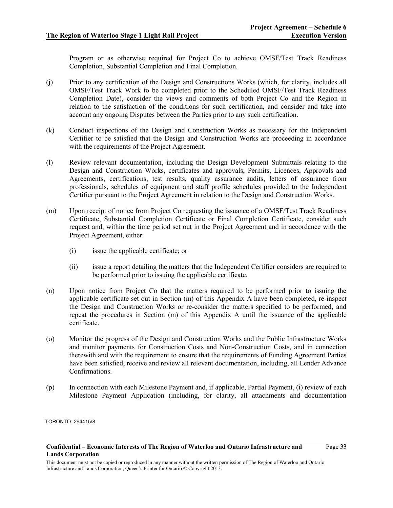Program or as otherwise required for Project Co to achieve OMSF/Test Track Readiness Completion, Substantial Completion and Final Completion.

- (j) Prior to any certification of the Design and Constructions Works (which, for clarity, includes all OMSF/Test Track Work to be completed prior to the Scheduled OMSF/Test Track Readiness Completion Date), consider the views and comments of both Project Co and the Region in relation to the satisfaction of the conditions for such certification, and consider and take into account any ongoing Disputes between the Parties prior to any such certification.
- (k) Conduct inspections of the Design and Construction Works as necessary for the Independent Certifier to be satisfied that the Design and Construction Works are proceeding in accordance with the requirements of the Project Agreement.
- (l) Review relevant documentation, including the Design Development Submittals relating to the Design and Construction Works, certificates and approvals, Permits, Licences, Approvals and Agreements, certifications, test results, quality assurance audits, letters of assurance from professionals, schedules of equipment and staff profile schedules provided to the Independent Certifier pursuant to the Project Agreement in relation to the Design and Construction Works.
- <span id="page-32-0"></span>(m) Upon receipt of notice from Project Co requesting the issuance of a OMSF/Test Track Readiness Certificate, Substantial Completion Certificate or Final Completion Certificate, consider such request and, within the time period set out in the Project Agreement and in accordance with the Project Agreement, either:
	- (i) issue the applicable certificate; or
	- (ii) issue a report detailing the matters that the Independent Certifier considers are required to be performed prior to issuing the applicable certificate.
- (n) Upon notice from Project Co that the matters required to be performed prior to issuing the applicable certificate set out in Section (m) of this Appendix A have been completed, re-inspect the Design and Construction Works or re-consider the matters specified to be performed, and repeat the procedures in Section [\(m\)](#page-32-0) of this Appendix A until the issuance of the applicable certificate.
- (o) Monitor the progress of the Design and Construction Works and the Public Infrastructure Works and monitor payments for Construction Costs and Non-Construction Costs, and in connection therewith and with the requirement to ensure that the requirements of Funding Agreement Parties have been satisfied, receive and review all relevant documentation, including, all Lender Advance Confirmations.
- (p) In connection with each Milestone Payment and, if applicable, Partial Payment, (i) review of each Milestone Payment Application (including, for clarity, all attachments and documentation

TORONTO: 294415\8

**Confidential – Economic Interests of The Region of Waterloo and Ontario Infrastructure and Lands Corporation**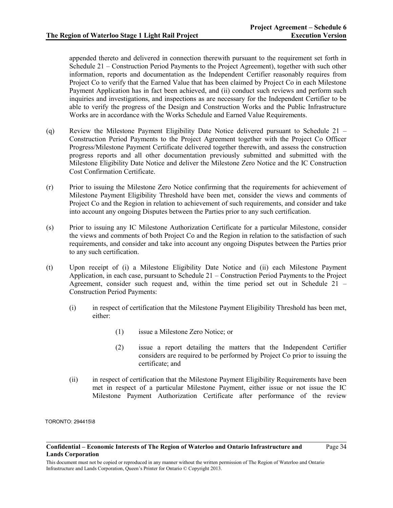appended thereto and delivered in connection therewith pursuant to the requirement set forth in Schedule 21 – Construction Period Payments to the Project Agreement), together with such other information, reports and documentation as the Independent Certifier reasonably requires from Project Co to verify that the Earned Value that has been claimed by Project Co in each Milestone Payment Application has in fact been achieved, and (ii) conduct such reviews and perform such inquiries and investigations, and inspections as are necessary for the Independent Certifier to be able to verify the progress of the Design and Construction Works and the Public Infrastructure Works are in accordance with the Works Schedule and Earned Value Requirements.

- (q) Review the Milestone Payment Eligibility Date Notice delivered pursuant to Schedule 21 Construction Period Payments to the Project Agreement together with the Project Co Officer Progress/Milestone Payment Certificate delivered together therewith, and assess the construction progress reports and all other documentation previously submitted and submitted with the Milestone Eligibility Date Notice and deliver the Milestone Zero Notice and the IC Construction Cost Confirmation Certificate.
- (r) Prior to issuing the Milestone Zero Notice confirming that the requirements for achievement of Milestone Payment Eligibility Threshold have been met, consider the views and comments of Project Co and the Region in relation to achievement of such requirements, and consider and take into account any ongoing Disputes between the Parties prior to any such certification.
- (s) Prior to issuing any IC Milestone Authorization Certificate for a particular Milestone, consider the views and comments of both Project Co and the Region in relation to the satisfaction of such requirements, and consider and take into account any ongoing Disputes between the Parties prior to any such certification.
- (t) Upon receipt of (i) a Milestone Eligibility Date Notice and (ii) each Milestone Payment Application, in each case, pursuant to Schedule 21 – Construction Period Payments to the Project Agreement, consider such request and, within the time period set out in Schedule 21 – Construction Period Payments:
	- (i) in respect of certification that the Milestone Payment Eligibility Threshold has been met, either:
		- (1) issue a Milestone Zero Notice; or
		- (2) issue a report detailing the matters that the Independent Certifier considers are required to be performed by Project Co prior to issuing the certificate; and
	- (ii) in respect of certification that the Milestone Payment Eligibility Requirements have been met in respect of a particular Milestone Payment, either issue or not issue the IC Milestone Payment Authorization Certificate after performance of the review

TORONTO: 294415\8

**Confidential – Economic Interests of The Region of Waterloo and Ontario Infrastructure and Lands Corporation**

This document must not be copied or reproduced in any manner without the written permission of The Region of Waterloo and Ontario Infrastructure and Lands Corporation, Queen's Printer for Ontario © Copyright 2013.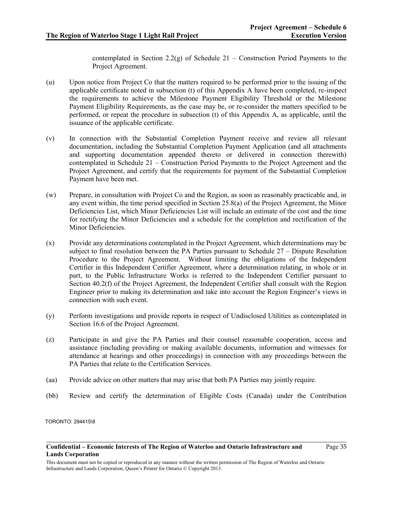Page 35

contemplated in Section 2.2(g) of Schedule 21 – Construction Period Payments to the Project Agreement.

- (u) Upon notice from Project Co that the matters required to be performed prior to the issuing of the applicable certificate noted in subsection (t) of this Appendix A have been completed, re-inspect the requirements to achieve the Milestone Payment Eligibility Threshold or the Milestone Payment Eligibility Requirements, as the case may be, or re-consider the matters specified to be performed, or repeat the procedure in subsection (t) of this Appendix A, as applicable, until the issuance of the applicable certificate.
- (v) In connection with the Substantial Completion Payment receive and review all relevant documentation, including the Substantial Completion Payment Application (and all attachments and supporting documentation appended thereto or delivered in connection therewith) contemplated in Schedule 21 – Construction Period Payments to the Project Agreement and the Project Agreement, and certify that the requirements for payment of the Substantial Completion Payment have been met.
- (w) Prepare, in consultation with Project Co and the Region, as soon as reasonably practicable and, in any event within, the time period specified in Section 25.8(a) of the Project Agreement, the Minor Deficiencies List, which Minor Deficiencies List will include an estimate of the cost and the time for rectifying the Minor Deficiencies and a schedule for the completion and rectification of the Minor Deficiencies.
- (x) Provide any determinations contemplated in the Project Agreement, which determinations may be subject to final resolution between the PA Parties pursuant to Schedule 27 – Dispute Resolution Procedure to the Project Agreement. Without limiting the obligations of the Independent Certifier in this Independent Certifier Agreement, where a determination relating, in whole or in part, to the Public Infrastructure Works is referred to the Independent Certifier pursuant to Section 40.2(f) of the Project Agreement, the Independent Certifier shall consult with the Region Engineer prior to making its determination and take into account the Region Engineer's views in connection with such event.
- (y) Perform investigations and provide reports in respect of Undisclosed Utilities as contemplated in Section 16.6 of the Project Agreement.
- (z) Participate in and give the PA Parties and their counsel reasonable cooperation, access and assistance (including providing or making available documents, information and witnesses for attendance at hearings and other proceedings) in connection with any proceedings between the PA Parties that relate to the Certification Services.
- (aa) Provide advice on other matters that may arise that both PA Parties may jointly require.
- (bb) Review and certify the determination of Eligible Costs (Canada) under the Contribution

TORONTO: 294415\8

#### **Confidential – Economic Interests of The Region of Waterloo and Ontario Infrastructure and Lands Corporation**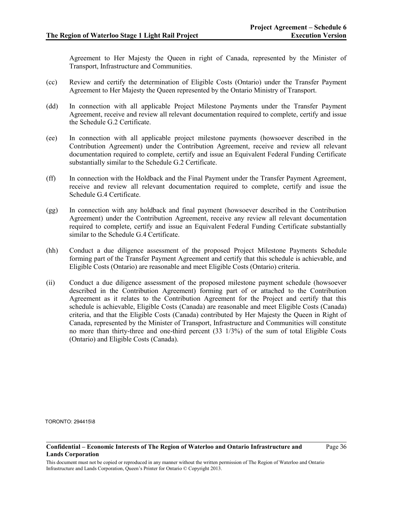Agreement to Her Majesty the Queen in right of Canada, represented by the Minister of Transport, Infrastructure and Communities.

- (cc) Review and certify the determination of Eligible Costs (Ontario) under the Transfer Payment Agreement to Her Majesty the Queen represented by the Ontario Ministry of Transport.
- (dd) In connection with all applicable Project Milestone Payments under the Transfer Payment Agreement, receive and review all relevant documentation required to complete, certify and issue the Schedule G.2 Certificate.
- (ee) In connection with all applicable project milestone payments (howsoever described in the Contribution Agreement) under the Contribution Agreement, receive and review all relevant documentation required to complete, certify and issue an Equivalent Federal Funding Certificate substantially similar to the Schedule G.2 Certificate.
- (ff) In connection with the Holdback and the Final Payment under the Transfer Payment Agreement, receive and review all relevant documentation required to complete, certify and issue the Schedule G.4 Certificate.
- (gg) In connection with any holdback and final payment (howsoever described in the Contribution Agreement) under the Contribution Agreement, receive any review all relevant documentation required to complete, certify and issue an Equivalent Federal Funding Certificate substantially similar to the Schedule G.4 Certificate.
- (hh) Conduct a due diligence assessment of the proposed Project Milestone Payments Schedule forming part of the Transfer Payment Agreement and certify that this schedule is achievable, and Eligible Costs (Ontario) are reasonable and meet Eligible Costs (Ontario) criteria.
- (ii) Conduct a due diligence assessment of the proposed milestone payment schedule (howsoever described in the Contribution Agreement) forming part of or attached to the Contribution Agreement as it relates to the Contribution Agreement for the Project and certify that this schedule is achievable, Eligible Costs (Canada) are reasonable and meet Eligible Costs (Canada) criteria, and that the Eligible Costs (Canada) contributed by Her Majesty the Queen in Right of Canada, represented by the Minister of Transport, Infrastructure and Communities will constitute no more than thirty-three and one-third percent (33 1/3%) of the sum of total Eligible Costs (Ontario) and Eligible Costs (Canada).

TORONTO: 294415\8

#### **Confidential – Economic Interests of The Region of Waterloo and Ontario Infrastructure and Lands Corporation**

Page 36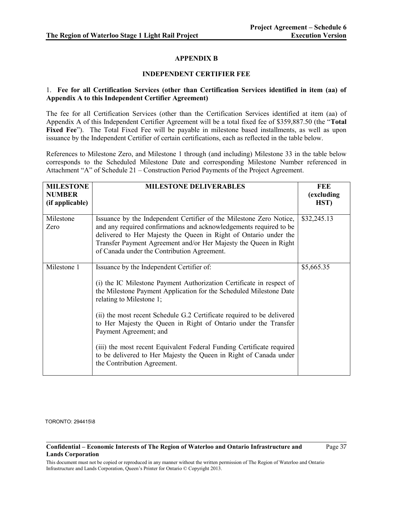## **APPENDIX B**

## **INDEPENDENT CERTIFIER FEE**

## 1. **Fee for all Certification Services (other than Certification Services identified in item (aa) of Appendix A to this Independent Certifier Agreement)**

The fee for all Certification Services (other than the Certification Services identified at item (aa) of Appendix A of this Independent Certifier Agreement will be a total fixed fee of \$359,887.50 (the "**Total Fixed Fee**"). The Total Fixed Fee will be payable in milestone based installments, as well as upon issuance by the Independent Certifier of certain certifications, each as reflected in the table below.

References to Milestone Zero, and Milestone 1 through (and including) Milestone 33 in the table below corresponds to the Scheduled Milestone Date and corresponding Milestone Number referenced in Attachment "A" of Schedule 21 – Construction Period Payments of the Project Agreement.

| <b>MILESTONE</b><br><b>NUMBER</b><br>(if applicable) | <b>MILESTONE DELIVERABLES</b>                                                                                                                                                                                                                                                                                                    | <b>FEE</b><br>(excluding<br>HST) |
|------------------------------------------------------|----------------------------------------------------------------------------------------------------------------------------------------------------------------------------------------------------------------------------------------------------------------------------------------------------------------------------------|----------------------------------|
| Milestone<br>Zero                                    | Issuance by the Independent Certifier of the Milestone Zero Notice,<br>and any required confirmations and acknowledgements required to be<br>delivered to Her Majesty the Queen in Right of Ontario under the<br>Transfer Payment Agreement and/or Her Majesty the Queen in Right<br>of Canada under the Contribution Agreement. | \$32,245.13                      |
| Milestone 1                                          | Issuance by the Independent Certifier of:<br>(i) the IC Milestone Payment Authorization Certificate in respect of<br>the Milestone Payment Application for the Scheduled Milestone Date<br>relating to Milestone 1;<br>(ii) the most recent Schedule G.2 Certificate required to be delivered                                    | \$5,665.35                       |
|                                                      | to Her Majesty the Queen in Right of Ontario under the Transfer<br>Payment Agreement; and<br>(iii) the most recent Equivalent Federal Funding Certificate required<br>to be delivered to Her Majesty the Queen in Right of Canada under<br>the Contribution Agreement.                                                           |                                  |

TORONTO: 294415\8

#### **Confidential – Economic Interests of The Region of Waterloo and Ontario Infrastructure and Lands Corporation**

Page 37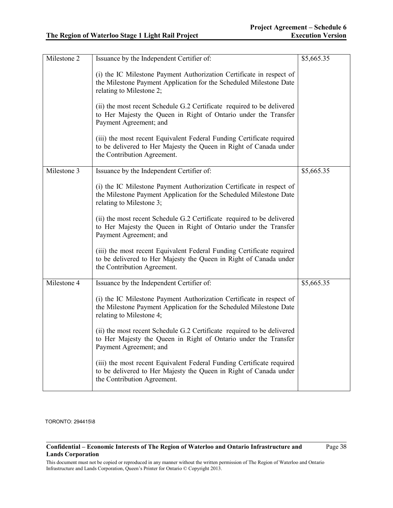| Milestone 2 | Issuance by the Independent Certifier of:                                                                                                                                 | \$5,665.35 |
|-------------|---------------------------------------------------------------------------------------------------------------------------------------------------------------------------|------------|
|             | (i) the IC Milestone Payment Authorization Certificate in respect of<br>the Milestone Payment Application for the Scheduled Milestone Date<br>relating to Milestone 2;    |            |
|             | (ii) the most recent Schedule G.2 Certificate required to be delivered<br>to Her Majesty the Queen in Right of Ontario under the Transfer<br>Payment Agreement; and       |            |
|             | (iii) the most recent Equivalent Federal Funding Certificate required<br>to be delivered to Her Majesty the Queen in Right of Canada under<br>the Contribution Agreement. |            |
| Milestone 3 | Issuance by the Independent Certifier of:                                                                                                                                 | \$5,665.35 |
|             | (i) the IC Milestone Payment Authorization Certificate in respect of<br>the Milestone Payment Application for the Scheduled Milestone Date<br>relating to Milestone 3;    |            |
|             | (ii) the most recent Schedule G.2 Certificate required to be delivered<br>to Her Majesty the Queen in Right of Ontario under the Transfer<br>Payment Agreement; and       |            |
|             | (iii) the most recent Equivalent Federal Funding Certificate required<br>to be delivered to Her Majesty the Queen in Right of Canada under<br>the Contribution Agreement. |            |
| Milestone 4 | Issuance by the Independent Certifier of:                                                                                                                                 | \$5,665.35 |
|             | (i) the IC Milestone Payment Authorization Certificate in respect of<br>the Milestone Payment Application for the Scheduled Milestone Date<br>relating to Milestone 4;    |            |
|             | (ii) the most recent Schedule G.2 Certificate required to be delivered<br>to Her Majesty the Queen in Right of Ontario under the Transfer<br>Payment Agreement; and       |            |
|             | (iii) the most recent Equivalent Federal Funding Certificate required<br>to be delivered to Her Majesty the Queen in Right of Canada under<br>the Contribution Agreement. |            |

### **Confidential – Economic Interests of The Region of Waterloo and Ontario Infrastructure and Lands Corporation**

Page 38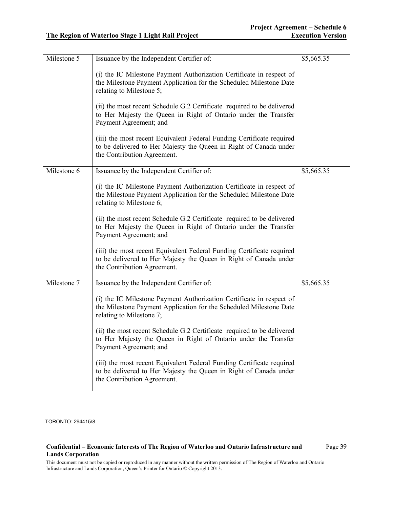| Issuance by the Independent Certifier of:                                                                                                                                 | \$5,665.35 |
|---------------------------------------------------------------------------------------------------------------------------------------------------------------------------|------------|
| (i) the IC Milestone Payment Authorization Certificate in respect of<br>the Milestone Payment Application for the Scheduled Milestone Date<br>relating to Milestone 5;    |            |
| (ii) the most recent Schedule G.2 Certificate required to be delivered<br>to Her Majesty the Queen in Right of Ontario under the Transfer<br>Payment Agreement; and       |            |
| (iii) the most recent Equivalent Federal Funding Certificate required<br>to be delivered to Her Majesty the Queen in Right of Canada under<br>the Contribution Agreement. |            |
| Issuance by the Independent Certifier of:                                                                                                                                 | \$5,665.35 |
| (i) the IC Milestone Payment Authorization Certificate in respect of<br>the Milestone Payment Application for the Scheduled Milestone Date<br>relating to Milestone 6;    |            |
| (ii) the most recent Schedule G.2 Certificate required to be delivered<br>to Her Majesty the Queen in Right of Ontario under the Transfer<br>Payment Agreement; and       |            |
| (iii) the most recent Equivalent Federal Funding Certificate required<br>to be delivered to Her Majesty the Queen in Right of Canada under<br>the Contribution Agreement. |            |
| Issuance by the Independent Certifier of:                                                                                                                                 | \$5,665.35 |
| (i) the IC Milestone Payment Authorization Certificate in respect of<br>the Milestone Payment Application for the Scheduled Milestone Date<br>relating to Milestone 7;    |            |
| (ii) the most recent Schedule G.2 Certificate required to be delivered<br>to Her Majesty the Queen in Right of Ontario under the Transfer<br>Payment Agreement; and       |            |
| (iii) the most recent Equivalent Federal Funding Certificate required<br>to be delivered to Her Majesty the Queen in Right of Canada under<br>the Contribution Agreement. |            |
|                                                                                                                                                                           |            |

### **Confidential – Economic Interests of The Region of Waterloo and Ontario Infrastructure and Lands Corporation**

Page 39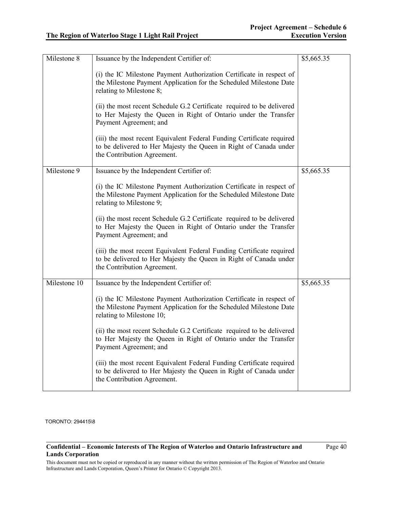| Milestone 8  | Issuance by the Independent Certifier of:                                                                                                                                 | \$5,665.35 |
|--------------|---------------------------------------------------------------------------------------------------------------------------------------------------------------------------|------------|
|              | (i) the IC Milestone Payment Authorization Certificate in respect of<br>the Milestone Payment Application for the Scheduled Milestone Date<br>relating to Milestone 8;    |            |
|              | (ii) the most recent Schedule G.2 Certificate required to be delivered<br>to Her Majesty the Queen in Right of Ontario under the Transfer<br>Payment Agreement; and       |            |
|              | (iii) the most recent Equivalent Federal Funding Certificate required<br>to be delivered to Her Majesty the Queen in Right of Canada under<br>the Contribution Agreement. |            |
| Milestone 9  | Issuance by the Independent Certifier of:                                                                                                                                 | \$5,665.35 |
|              | (i) the IC Milestone Payment Authorization Certificate in respect of<br>the Milestone Payment Application for the Scheduled Milestone Date<br>relating to Milestone 9;    |            |
|              | (ii) the most recent Schedule G.2 Certificate required to be delivered<br>to Her Majesty the Queen in Right of Ontario under the Transfer<br>Payment Agreement; and       |            |
|              | (iii) the most recent Equivalent Federal Funding Certificate required<br>to be delivered to Her Majesty the Queen in Right of Canada under<br>the Contribution Agreement. |            |
| Milestone 10 | Issuance by the Independent Certifier of:                                                                                                                                 | \$5,665.35 |
|              | (i) the IC Milestone Payment Authorization Certificate in respect of<br>the Milestone Payment Application for the Scheduled Milestone Date<br>relating to Milestone 10;   |            |
|              | (ii) the most recent Schedule G.2 Certificate required to be delivered<br>to Her Majesty the Queen in Right of Ontario under the Transfer<br>Payment Agreement; and       |            |
|              | (iii) the most recent Equivalent Federal Funding Certificate required<br>to be delivered to Her Majesty the Queen in Right of Canada under<br>the Contribution Agreement. |            |

### **Confidential – Economic Interests of The Region of Waterloo and Ontario Infrastructure and Lands Corporation**

Page 40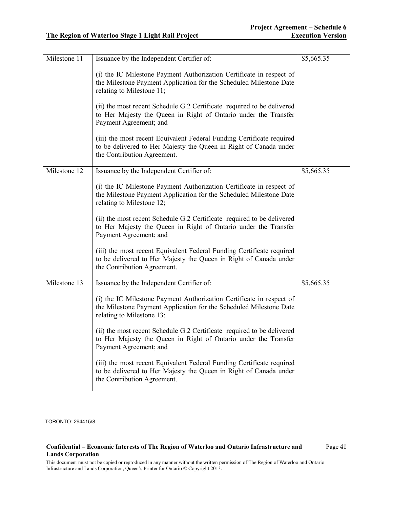| Milestone 11 | Issuance by the Independent Certifier of:                                                                                                                                 | \$5,665.35 |
|--------------|---------------------------------------------------------------------------------------------------------------------------------------------------------------------------|------------|
|              | (i) the IC Milestone Payment Authorization Certificate in respect of<br>the Milestone Payment Application for the Scheduled Milestone Date<br>relating to Milestone 11;   |            |
|              | (ii) the most recent Schedule G.2 Certificate required to be delivered<br>to Her Majesty the Queen in Right of Ontario under the Transfer<br>Payment Agreement; and       |            |
|              | (iii) the most recent Equivalent Federal Funding Certificate required<br>to be delivered to Her Majesty the Queen in Right of Canada under<br>the Contribution Agreement. |            |
| Milestone 12 | Issuance by the Independent Certifier of:                                                                                                                                 | \$5,665.35 |
|              | (i) the IC Milestone Payment Authorization Certificate in respect of<br>the Milestone Payment Application for the Scheduled Milestone Date<br>relating to Milestone 12;   |            |
|              | (ii) the most recent Schedule G.2 Certificate required to be delivered<br>to Her Majesty the Queen in Right of Ontario under the Transfer<br>Payment Agreement; and       |            |
|              | (iii) the most recent Equivalent Federal Funding Certificate required<br>to be delivered to Her Majesty the Queen in Right of Canada under<br>the Contribution Agreement. |            |
| Milestone 13 | Issuance by the Independent Certifier of:                                                                                                                                 | \$5,665.35 |
|              | (i) the IC Milestone Payment Authorization Certificate in respect of<br>the Milestone Payment Application for the Scheduled Milestone Date<br>relating to Milestone 13;   |            |
|              | (ii) the most recent Schedule G.2 Certificate required to be delivered<br>to Her Majesty the Queen in Right of Ontario under the Transfer<br>Payment Agreement; and       |            |
|              | (iii) the most recent Equivalent Federal Funding Certificate required<br>to be delivered to Her Majesty the Queen in Right of Canada under<br>the Contribution Agreement. |            |

### **Confidential – Economic Interests of The Region of Waterloo and Ontario Infrastructure and Lands Corporation**

Page 41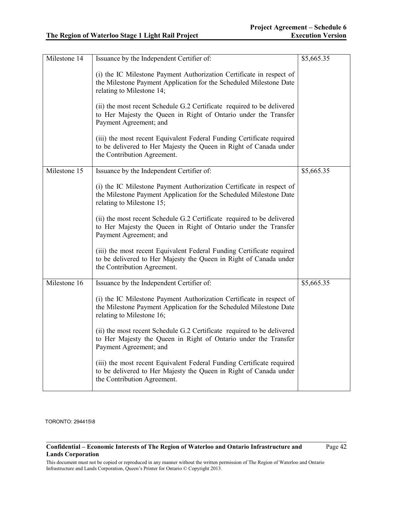| Milestone 14 | Issuance by the Independent Certifier of:                                                                                                                                 | \$5,665.35 |
|--------------|---------------------------------------------------------------------------------------------------------------------------------------------------------------------------|------------|
|              | (i) the IC Milestone Payment Authorization Certificate in respect of<br>the Milestone Payment Application for the Scheduled Milestone Date<br>relating to Milestone 14;   |            |
|              | (ii) the most recent Schedule G.2 Certificate required to be delivered<br>to Her Majesty the Queen in Right of Ontario under the Transfer<br>Payment Agreement; and       |            |
|              | (iii) the most recent Equivalent Federal Funding Certificate required<br>to be delivered to Her Majesty the Queen in Right of Canada under<br>the Contribution Agreement. |            |
| Milestone 15 | Issuance by the Independent Certifier of:                                                                                                                                 | \$5,665.35 |
|              | (i) the IC Milestone Payment Authorization Certificate in respect of<br>the Milestone Payment Application for the Scheduled Milestone Date<br>relating to Milestone 15;   |            |
|              | (ii) the most recent Schedule G.2 Certificate required to be delivered<br>to Her Majesty the Queen in Right of Ontario under the Transfer<br>Payment Agreement; and       |            |
|              | (iii) the most recent Equivalent Federal Funding Certificate required<br>to be delivered to Her Majesty the Queen in Right of Canada under<br>the Contribution Agreement. |            |
| Milestone 16 | Issuance by the Independent Certifier of:                                                                                                                                 | \$5,665.35 |
|              | (i) the IC Milestone Payment Authorization Certificate in respect of<br>the Milestone Payment Application for the Scheduled Milestone Date<br>relating to Milestone 16;   |            |
|              | (ii) the most recent Schedule G.2 Certificate required to be delivered<br>to Her Majesty the Queen in Right of Ontario under the Transfer<br>Payment Agreement; and       |            |
|              | (iii) the most recent Equivalent Federal Funding Certificate required<br>to be delivered to Her Majesty the Queen in Right of Canada under<br>the Contribution Agreement. |            |

### **Confidential – Economic Interests of The Region of Waterloo and Ontario Infrastructure and Lands Corporation**

Page 42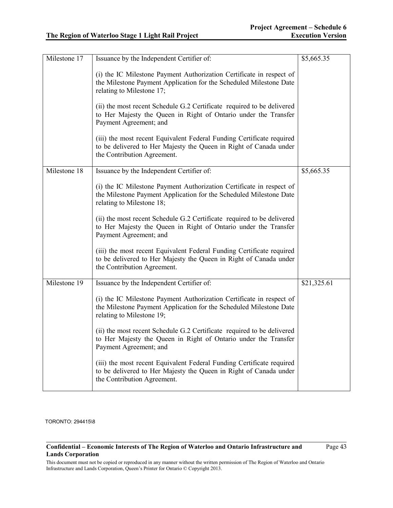| Milestone 17 | Issuance by the Independent Certifier of:                                                                                                                                 | \$5,665.35  |
|--------------|---------------------------------------------------------------------------------------------------------------------------------------------------------------------------|-------------|
|              | (i) the IC Milestone Payment Authorization Certificate in respect of<br>the Milestone Payment Application for the Scheduled Milestone Date<br>relating to Milestone 17;   |             |
|              | (ii) the most recent Schedule G.2 Certificate required to be delivered<br>to Her Majesty the Queen in Right of Ontario under the Transfer<br>Payment Agreement; and       |             |
|              | (iii) the most recent Equivalent Federal Funding Certificate required<br>to be delivered to Her Majesty the Queen in Right of Canada under<br>the Contribution Agreement. |             |
| Milestone 18 | Issuance by the Independent Certifier of:                                                                                                                                 | \$5,665.35  |
|              | (i) the IC Milestone Payment Authorization Certificate in respect of<br>the Milestone Payment Application for the Scheduled Milestone Date<br>relating to Milestone 18;   |             |
|              | (ii) the most recent Schedule G.2 Certificate required to be delivered<br>to Her Majesty the Queen in Right of Ontario under the Transfer<br>Payment Agreement; and       |             |
|              | (iii) the most recent Equivalent Federal Funding Certificate required<br>to be delivered to Her Majesty the Queen in Right of Canada under<br>the Contribution Agreement. |             |
| Milestone 19 | Issuance by the Independent Certifier of:                                                                                                                                 | \$21,325.61 |
|              | (i) the IC Milestone Payment Authorization Certificate in respect of<br>the Milestone Payment Application for the Scheduled Milestone Date<br>relating to Milestone 19;   |             |
|              | (ii) the most recent Schedule G.2 Certificate required to be delivered<br>to Her Majesty the Queen in Right of Ontario under the Transfer<br>Payment Agreement; and       |             |
|              | (iii) the most recent Equivalent Federal Funding Certificate required<br>to be delivered to Her Majesty the Queen in Right of Canada under<br>the Contribution Agreement. |             |

### **Confidential – Economic Interests of The Region of Waterloo and Ontario Infrastructure and Lands Corporation**

Page 43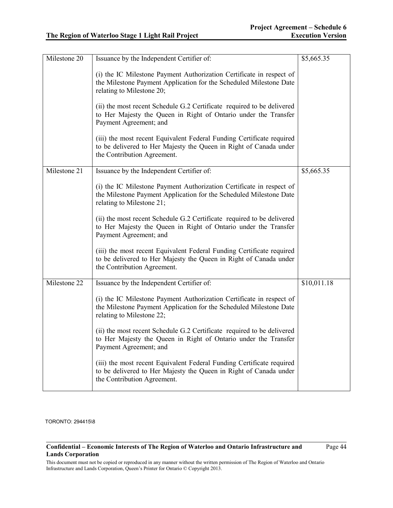| Milestone 20 | Issuance by the Independent Certifier of:                                                                                                                                 | \$5,665.35  |
|--------------|---------------------------------------------------------------------------------------------------------------------------------------------------------------------------|-------------|
|              | (i) the IC Milestone Payment Authorization Certificate in respect of<br>the Milestone Payment Application for the Scheduled Milestone Date<br>relating to Milestone 20;   |             |
|              | (ii) the most recent Schedule G.2 Certificate required to be delivered<br>to Her Majesty the Queen in Right of Ontario under the Transfer<br>Payment Agreement; and       |             |
|              | (iii) the most recent Equivalent Federal Funding Certificate required<br>to be delivered to Her Majesty the Queen in Right of Canada under<br>the Contribution Agreement. |             |
| Milestone 21 | Issuance by the Independent Certifier of:                                                                                                                                 | \$5,665.35  |
|              | (i) the IC Milestone Payment Authorization Certificate in respect of<br>the Milestone Payment Application for the Scheduled Milestone Date<br>relating to Milestone 21;   |             |
|              | (ii) the most recent Schedule G.2 Certificate required to be delivered<br>to Her Majesty the Queen in Right of Ontario under the Transfer<br>Payment Agreement; and       |             |
|              | (iii) the most recent Equivalent Federal Funding Certificate required<br>to be delivered to Her Majesty the Queen in Right of Canada under<br>the Contribution Agreement. |             |
| Milestone 22 | Issuance by the Independent Certifier of:                                                                                                                                 | \$10,011.18 |
|              | (i) the IC Milestone Payment Authorization Certificate in respect of<br>the Milestone Payment Application for the Scheduled Milestone Date<br>relating to Milestone 22;   |             |
|              | (ii) the most recent Schedule G.2 Certificate required to be delivered<br>to Her Majesty the Queen in Right of Ontario under the Transfer<br>Payment Agreement; and       |             |
|              | (iii) the most recent Equivalent Federal Funding Certificate required<br>to be delivered to Her Majesty the Queen in Right of Canada under<br>the Contribution Agreement. |             |

### **Confidential – Economic Interests of The Region of Waterloo and Ontario Infrastructure and Lands Corporation**

Page 44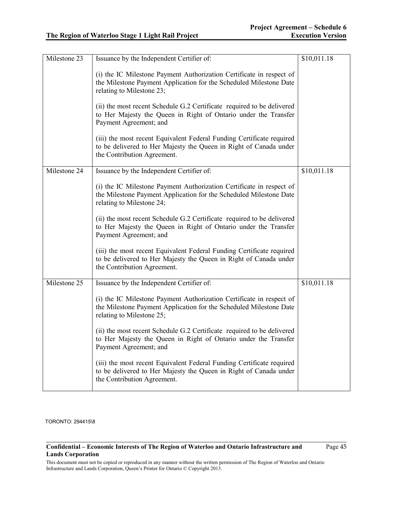| Milestone 23 | Issuance by the Independent Certifier of:                                                                                                                                 | \$10,011.18 |
|--------------|---------------------------------------------------------------------------------------------------------------------------------------------------------------------------|-------------|
|              | (i) the IC Milestone Payment Authorization Certificate in respect of<br>the Milestone Payment Application for the Scheduled Milestone Date<br>relating to Milestone 23;   |             |
|              | (ii) the most recent Schedule G.2 Certificate required to be delivered<br>to Her Majesty the Queen in Right of Ontario under the Transfer<br>Payment Agreement; and       |             |
|              | (iii) the most recent Equivalent Federal Funding Certificate required<br>to be delivered to Her Majesty the Queen in Right of Canada under<br>the Contribution Agreement. |             |
| Milestone 24 | Issuance by the Independent Certifier of:                                                                                                                                 | \$10,011.18 |
|              | (i) the IC Milestone Payment Authorization Certificate in respect of<br>the Milestone Payment Application for the Scheduled Milestone Date<br>relating to Milestone 24;   |             |
|              | (ii) the most recent Schedule G.2 Certificate required to be delivered<br>to Her Majesty the Queen in Right of Ontario under the Transfer<br>Payment Agreement; and       |             |
|              | (iii) the most recent Equivalent Federal Funding Certificate required<br>to be delivered to Her Majesty the Queen in Right of Canada under<br>the Contribution Agreement. |             |
| Milestone 25 | Issuance by the Independent Certifier of:                                                                                                                                 | \$10,011.18 |
|              | (i) the IC Milestone Payment Authorization Certificate in respect of<br>the Milestone Payment Application for the Scheduled Milestone Date<br>relating to Milestone 25;   |             |
|              | (ii) the most recent Schedule G.2 Certificate required to be delivered<br>to Her Majesty the Queen in Right of Ontario under the Transfer<br>Payment Agreement; and       |             |
|              | (iii) the most recent Equivalent Federal Funding Certificate required<br>to be delivered to Her Majesty the Queen in Right of Canada under<br>the Contribution Agreement. |             |

### **Confidential – Economic Interests of The Region of Waterloo and Ontario Infrastructure and Lands Corporation**

Page 45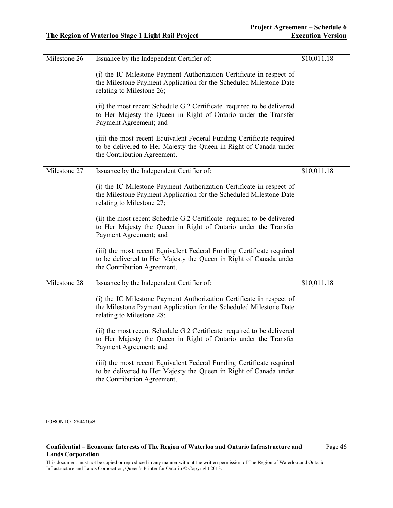| Milestone 26 | Issuance by the Independent Certifier of:                                                                                                                                 | \$10,011.18 |
|--------------|---------------------------------------------------------------------------------------------------------------------------------------------------------------------------|-------------|
|              | (i) the IC Milestone Payment Authorization Certificate in respect of<br>the Milestone Payment Application for the Scheduled Milestone Date<br>relating to Milestone 26;   |             |
|              | (ii) the most recent Schedule G.2 Certificate required to be delivered<br>to Her Majesty the Queen in Right of Ontario under the Transfer<br>Payment Agreement; and       |             |
|              | (iii) the most recent Equivalent Federal Funding Certificate required<br>to be delivered to Her Majesty the Queen in Right of Canada under<br>the Contribution Agreement. |             |
| Milestone 27 | Issuance by the Independent Certifier of:                                                                                                                                 | \$10,011.18 |
|              | (i) the IC Milestone Payment Authorization Certificate in respect of<br>the Milestone Payment Application for the Scheduled Milestone Date<br>relating to Milestone 27;   |             |
|              | (ii) the most recent Schedule G.2 Certificate required to be delivered<br>to Her Majesty the Queen in Right of Ontario under the Transfer<br>Payment Agreement; and       |             |
|              | (iii) the most recent Equivalent Federal Funding Certificate required<br>to be delivered to Her Majesty the Queen in Right of Canada under<br>the Contribution Agreement. |             |
| Milestone 28 | Issuance by the Independent Certifier of:                                                                                                                                 | \$10,011.18 |
|              | (i) the IC Milestone Payment Authorization Certificate in respect of<br>the Milestone Payment Application for the Scheduled Milestone Date<br>relating to Milestone 28;   |             |
|              | (ii) the most recent Schedule G.2 Certificate required to be delivered<br>to Her Majesty the Queen in Right of Ontario under the Transfer<br>Payment Agreement; and       |             |
|              | (iii) the most recent Equivalent Federal Funding Certificate required<br>to be delivered to Her Majesty the Queen in Right of Canada under<br>the Contribution Agreement. |             |

### **Confidential – Economic Interests of The Region of Waterloo and Ontario Infrastructure and Lands Corporation**

Page 46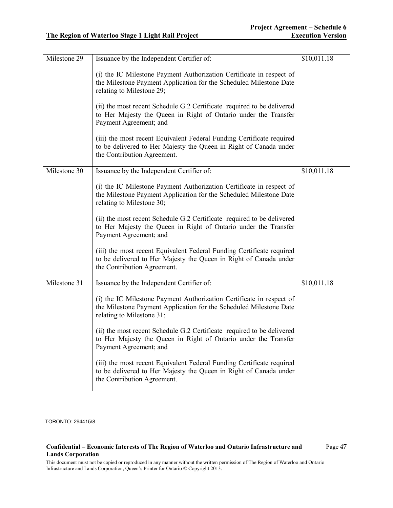| Milestone 29 | Issuance by the Independent Certifier of:                                                                                                                                 | \$10,011.18 |
|--------------|---------------------------------------------------------------------------------------------------------------------------------------------------------------------------|-------------|
|              | (i) the IC Milestone Payment Authorization Certificate in respect of<br>the Milestone Payment Application for the Scheduled Milestone Date<br>relating to Milestone 29;   |             |
|              | (ii) the most recent Schedule G.2 Certificate required to be delivered<br>to Her Majesty the Queen in Right of Ontario under the Transfer<br>Payment Agreement; and       |             |
|              | (iii) the most recent Equivalent Federal Funding Certificate required<br>to be delivered to Her Majesty the Queen in Right of Canada under<br>the Contribution Agreement. |             |
| Milestone 30 | Issuance by the Independent Certifier of:                                                                                                                                 | \$10,011.18 |
|              | (i) the IC Milestone Payment Authorization Certificate in respect of<br>the Milestone Payment Application for the Scheduled Milestone Date<br>relating to Milestone 30;   |             |
|              | (ii) the most recent Schedule G.2 Certificate required to be delivered<br>to Her Majesty the Queen in Right of Ontario under the Transfer<br>Payment Agreement; and       |             |
|              | (iii) the most recent Equivalent Federal Funding Certificate required<br>to be delivered to Her Majesty the Queen in Right of Canada under<br>the Contribution Agreement. |             |
| Milestone 31 | Issuance by the Independent Certifier of:                                                                                                                                 | \$10,011.18 |
|              | (i) the IC Milestone Payment Authorization Certificate in respect of<br>the Milestone Payment Application for the Scheduled Milestone Date<br>relating to Milestone 31;   |             |
|              | (ii) the most recent Schedule G.2 Certificate required to be delivered<br>to Her Majesty the Queen in Right of Ontario under the Transfer<br>Payment Agreement; and       |             |
|              | (iii) the most recent Equivalent Federal Funding Certificate required<br>to be delivered to Her Majesty the Queen in Right of Canada under<br>the Contribution Agreement. |             |

### **Confidential – Economic Interests of The Region of Waterloo and Ontario Infrastructure and Lands Corporation**

Page 47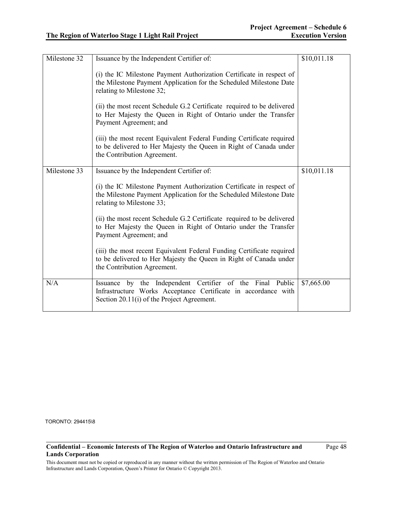| Milestone 32 | Issuance by the Independent Certifier of:                                                                                                                                 | \$10,011.18 |
|--------------|---------------------------------------------------------------------------------------------------------------------------------------------------------------------------|-------------|
|              | (i) the IC Milestone Payment Authorization Certificate in respect of<br>the Milestone Payment Application for the Scheduled Milestone Date<br>relating to Milestone 32;   |             |
|              | (ii) the most recent Schedule G.2 Certificate required to be delivered<br>to Her Majesty the Queen in Right of Ontario under the Transfer<br>Payment Agreement; and       |             |
|              | (iii) the most recent Equivalent Federal Funding Certificate required<br>to be delivered to Her Majesty the Queen in Right of Canada under<br>the Contribution Agreement. |             |
| Milestone 33 | Issuance by the Independent Certifier of:                                                                                                                                 | \$10,011.18 |
|              | (i) the IC Milestone Payment Authorization Certificate in respect of<br>the Milestone Payment Application for the Scheduled Milestone Date<br>relating to Milestone 33;   |             |
|              | (ii) the most recent Schedule G.2 Certificate required to be delivered<br>to Her Majesty the Queen in Right of Ontario under the Transfer<br>Payment Agreement; and       |             |
|              | (iii) the most recent Equivalent Federal Funding Certificate required<br>to be delivered to Her Majesty the Queen in Right of Canada under<br>the Contribution Agreement. |             |
| N/A          | Issuance by the Independent Certifier of the Final Public<br>Infrastructure Works Acceptance Certificate in accordance with<br>Section 20.11(i) of the Project Agreement. | \$7,665.00  |

### **Confidential – Economic Interests of The Region of Waterloo and Ontario Infrastructure and Lands Corporation**

Page 48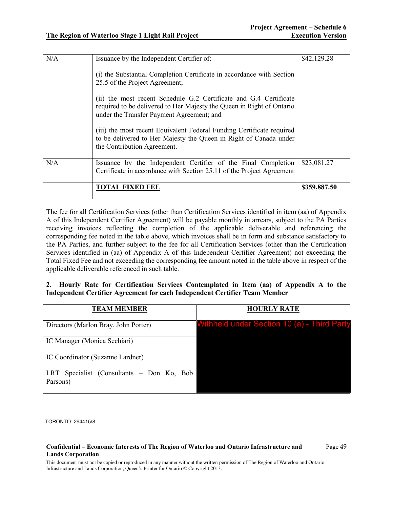| N/A | Issuance by the Independent Certifier of:                                                                                                                                               | \$42,129.28  |
|-----|-----------------------------------------------------------------------------------------------------------------------------------------------------------------------------------------|--------------|
|     | (i) the Substantial Completion Certificate in accordance with Section<br>25.5 of the Project Agreement;                                                                                 |              |
|     | (ii) the most recent Schedule G.2 Certificate and G.4 Certificate<br>required to be delivered to Her Majesty the Queen in Right of Ontario<br>under the Transfer Payment Agreement; and |              |
|     | (iii) the most recent Equivalent Federal Funding Certificate required<br>to be delivered to Her Majesty the Queen in Right of Canada under<br>the Contribution Agreement.               |              |
| N/A | Issuance by the Independent Certifier of the Final Completion<br>Certificate in accordance with Section 25.11 of the Project Agreement                                                  | \$23,081.27  |
|     | TOTAL FIXED FEE                                                                                                                                                                         | \$359,887.50 |

The fee for all Certification Services (other than Certification Services identified in item (aa) of Appendix A of this Independent Certifier Agreement) will be payable monthly in arrears, subject to the PA Parties receiving invoices reflecting the completion of the applicable deliverable and referencing the corresponding fee noted in the table above, which invoices shall be in form and substance satisfactory to the PA Parties, and further subject to the fee for all Certification Services (other than the Certification Services identified in (aa) of Appendix A of this Independent Certifier Agreement) not exceeding the Total Fixed Fee and not exceeding the corresponding fee amount noted in the table above in respect of the applicable deliverable referenced in such table.

## **2. Hourly Rate for Certification Services Contemplated in Item (aa) of Appendix A to the Independent Certifier Agreement for each Independent Certifier Team Member**

| <b>TEAM MEMBER</b>                                    | <b>HOURLY RATE</b>                                 |
|-------------------------------------------------------|----------------------------------------------------|
| Directors (Marlon Bray, John Porter)                  | <b>Withheld under Section 10 (a) - Third Party</b> |
| IC Manager (Monica Sechiari)                          |                                                    |
| IC Coordinator (Suzanne Lardner)                      |                                                    |
| LRT Specialist (Consultants – Don Ko, Bob<br>Parsons) |                                                    |

TORONTO: 294415\8

#### **Confidential – Economic Interests of The Region of Waterloo and Ontario Infrastructure and Lands Corporation**

Page 49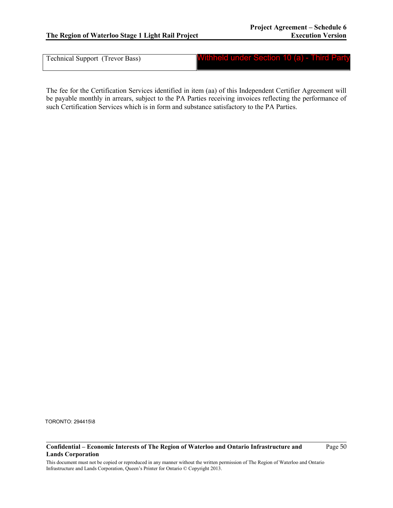Technical Support (Trevor Bass)

Withheld under Section 10 (a) - Third Party

The fee for the Certification Services identified in item (aa) of this Independent Certifier Agreement will be payable monthly in arrears, subject to the PA Parties receiving invoices reflecting the performance of such Certification Services which is in form and substance satisfactory to the PA Parties.

TORONTO: 294415\8

#### **Confidential – Economic Interests of The Region of Waterloo and Ontario Infrastructure and Lands Corporation**

Page 50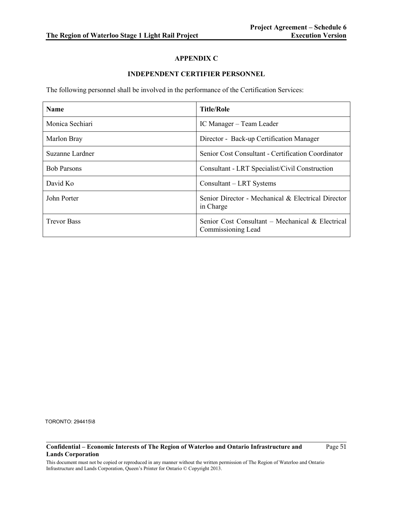# **APPENDIX C**

# **INDEPENDENT CERTIFIER PERSONNEL**

The following personnel shall be involved in the performance of the Certification Services:

| <b>Name</b>        | <b>Title/Role</b>                                                      |  |
|--------------------|------------------------------------------------------------------------|--|
| Monica Sechiari    | IC Manager - Team Leader                                               |  |
| Marlon Bray        | Director - Back-up Certification Manager                               |  |
| Suzanne Lardner    | Senior Cost Consultant - Certification Coordinator                     |  |
| <b>Bob Parsons</b> | Consultant - LRT Specialist/Civil Construction                         |  |
| David Ko           | Consultant – LRT Systems                                               |  |
| John Porter        | Senior Director - Mechanical & Electrical Director<br>in Charge        |  |
| <b>Trevor Bass</b> | Senior Cost Consultant – Mechanical & Electrical<br>Commissioning Lead |  |

TORONTO: 294415\8

### **Confidential – Economic Interests of The Region of Waterloo and Ontario Infrastructure and Lands Corporation**

Page 51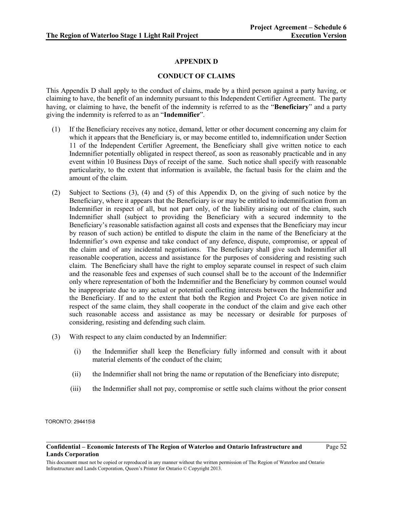# **APPENDIX D**

## **CONDUCT OF CLAIMS**

This Appendix D shall apply to the conduct of claims, made by a third person against a party having, or claiming to have, the benefit of an indemnity pursuant to this Independent Certifier Agreement. The party having, or claiming to have, the benefit of the indemnity is referred to as the "**Beneficiary**" and a party giving the indemnity is referred to as an "**Indemnifier**".

- (1) If the Beneficiary receives any notice, demand, letter or other document concerning any claim for which it appears that the Beneficiary is, or may become entitled to, indemnification under Section 11 of the Independent Certifier Agreement, the Beneficiary shall give written notice to each Indemnifier potentially obligated in respect thereof, as soon as reasonably practicable and in any event within 10 Business Days of receipt of the same. Such notice shall specify with reasonable particularity, to the extent that information is available, the factual basis for the claim and the amount of the claim.
- (2) Subject to Sections (3), (4) and (5) of this Appendix D, on the giving of such notice by the Beneficiary, where it appears that the Beneficiary is or may be entitled to indemnification from an Indemnifier in respect of all, but not part only, of the liability arising out of the claim, such Indemnifier shall (subject to providing the Beneficiary with a secured indemnity to the Beneficiary's reasonable satisfaction against all costs and expenses that the Beneficiary may incur by reason of such action) be entitled to dispute the claim in the name of the Beneficiary at the Indemnifier's own expense and take conduct of any defence, dispute, compromise, or appeal of the claim and of any incidental negotiations. The Beneficiary shall give such Indemnifier all reasonable cooperation, access and assistance for the purposes of considering and resisting such claim. The Beneficiary shall have the right to employ separate counsel in respect of such claim and the reasonable fees and expenses of such counsel shall be to the account of the Indemnifier only where representation of both the Indemnifier and the Beneficiary by common counsel would be inappropriate due to any actual or potential conflicting interests between the Indemnifier and the Beneficiary. If and to the extent that both the Region and Project Co are given notice in respect of the same claim, they shall cooperate in the conduct of the claim and give each other such reasonable access and assistance as may be necessary or desirable for purposes of considering, resisting and defending such claim.
- (3) With respect to any claim conducted by an Indemnifier:
	- (i) the Indemnifier shall keep the Beneficiary fully informed and consult with it about material elements of the conduct of the claim;
	- (ii) the Indemnifier shall not bring the name or reputation of the Beneficiary into disrepute;
	- (iii) the Indemnifier shall not pay, compromise or settle such claims without the prior consent

TORONTO: 294415\8

Page 52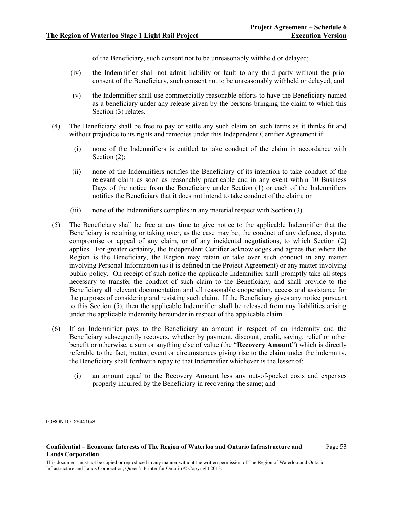of the Beneficiary, such consent not to be unreasonably withheld or delayed;

- (iv) the Indemnifier shall not admit liability or fault to any third party without the prior consent of the Beneficiary, such consent not to be unreasonably withheld or delayed; and
- (v) the Indemnifier shall use commercially reasonable efforts to have the Beneficiary named as a beneficiary under any release given by the persons bringing the claim to which this Section (3) relates.
- (4) The Beneficiary shall be free to pay or settle any such claim on such terms as it thinks fit and without prejudice to its rights and remedies under this Independent Certifier Agreement if:
	- (i) none of the Indemnifiers is entitled to take conduct of the claim in accordance with Section (2):
	- (ii) none of the Indemnifiers notifies the Beneficiary of its intention to take conduct of the relevant claim as soon as reasonably practicable and in any event within 10 Business Days of the notice from the Beneficiary under Section (1) or each of the Indemnifiers notifies the Beneficiary that it does not intend to take conduct of the claim; or
	- (iii) none of the Indemnifiers complies in any material respect with Section (3).
- (5) The Beneficiary shall be free at any time to give notice to the applicable Indemnifier that the Beneficiary is retaining or taking over, as the case may be, the conduct of any defence, dispute, compromise or appeal of any claim, or of any incidental negotiations, to which Section (2) applies. For greater certainty, the Independent Certifier acknowledges and agrees that where the Region is the Beneficiary, the Region may retain or take over such conduct in any matter involving Personal Information (as it is defined in the Project Agreement) or any matter involving public policy. On receipt of such notice the applicable Indemnifier shall promptly take all steps necessary to transfer the conduct of such claim to the Beneficiary, and shall provide to the Beneficiary all relevant documentation and all reasonable cooperation, access and assistance for the purposes of considering and resisting such claim. If the Beneficiary gives any notice pursuant to this Section (5), then the applicable Indemnifier shall be released from any liabilities arising under the applicable indemnity hereunder in respect of the applicable claim.
- (6) If an Indemnifier pays to the Beneficiary an amount in respect of an indemnity and the Beneficiary subsequently recovers, whether by payment, discount, credit, saving, relief or other benefit or otherwise, a sum or anything else of value (the "**Recovery Amount**") which is directly referable to the fact, matter, event or circumstances giving rise to the claim under the indemnity, the Beneficiary shall forthwith repay to that Indemnifier whichever is the lesser of:
	- (i) an amount equal to the Recovery Amount less any out-of-pocket costs and expenses properly incurred by the Beneficiary in recovering the same; and

TORONTO: 294415\8

**Confidential – Economic Interests of The Region of Waterloo and Ontario Infrastructure and Lands Corporation**

Page 53